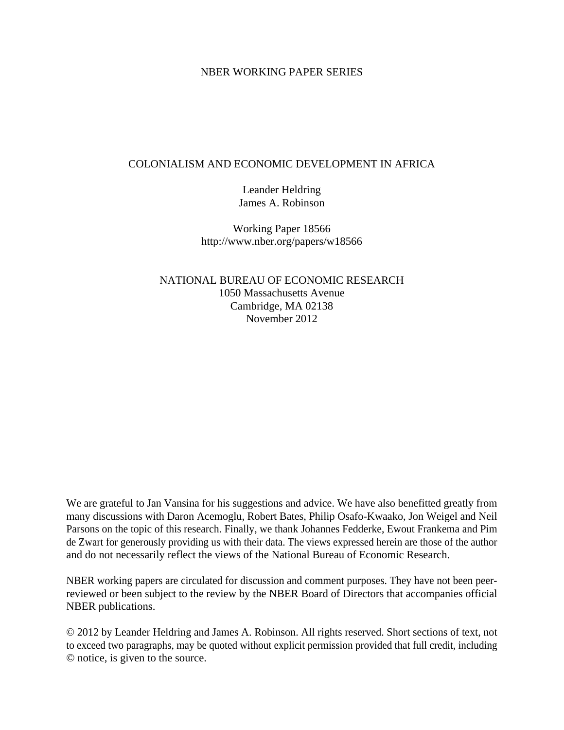#### NBER WORKING PAPER SERIES

#### COLONIALISM AND ECONOMIC DEVELOPMENT IN AFRICA

Leander Heldring James A. Robinson

Working Paper 18566 http://www.nber.org/papers/w18566

NATIONAL BUREAU OF ECONOMIC RESEARCH 1050 Massachusetts Avenue Cambridge, MA 02138 November 2012

We are grateful to Jan Vansina for his suggestions and advice. We have also benefitted greatly from many discussions with Daron Acemoglu, Robert Bates, Philip Osafo-Kwaako, Jon Weigel and Neil Parsons on the topic of this research. Finally, we thank Johannes Fedderke, Ewout Frankema and Pim de Zwart for generously providing us with their data. The views expressed herein are those of the author and do not necessarily reflect the views of the National Bureau of Economic Research.

NBER working papers are circulated for discussion and comment purposes. They have not been peerreviewed or been subject to the review by the NBER Board of Directors that accompanies official NBER publications.

© 2012 by Leander Heldring and James A. Robinson. All rights reserved. Short sections of text, not to exceed two paragraphs, may be quoted without explicit permission provided that full credit, including © notice, is given to the source.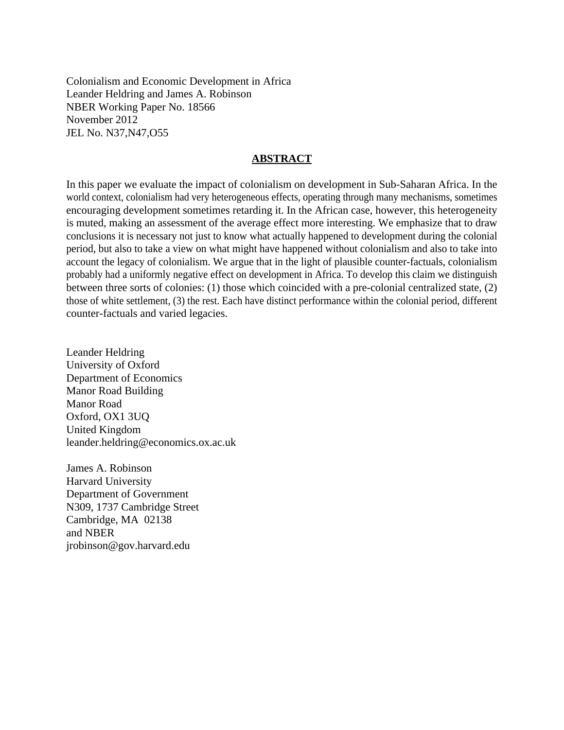Colonialism and Economic Development in Africa Leander Heldring and James A. Robinson NBER Working Paper No. 18566 November 2012 JEL No. N37,N47,O55

#### **ABSTRACT**

In this paper we evaluate the impact of colonialism on development in Sub-Saharan Africa. In the world context, colonialism had very heterogeneous effects, operating through many mechanisms, sometimes encouraging development sometimes retarding it. In the African case, however, this heterogeneity is muted, making an assessment of the average effect more interesting. We emphasize that to draw conclusions it is necessary not just to know what actually happened to development during the colonial period, but also to take a view on what might have happened without colonialism and also to take into account the legacy of colonialism. We argue that in the light of plausible counter-factuals, colonialism probably had a uniformly negative effect on development in Africa. To develop this claim we distinguish between three sorts of colonies: (1) those which coincided with a pre-colonial centralized state, (2) those of white settlement, (3) the rest. Each have distinct performance within the colonial period, different counter-factuals and varied legacies.

Leander Heldring University of Oxford Department of Economics Manor Road Building Manor Road Oxford, OX1 3UQ United Kingdom leander.heldring@economics.ox.ac.uk

James A. Robinson Harvard University Department of Government N309, 1737 Cambridge Street Cambridge, MA 02138 and NBER jrobinson@gov.harvard.edu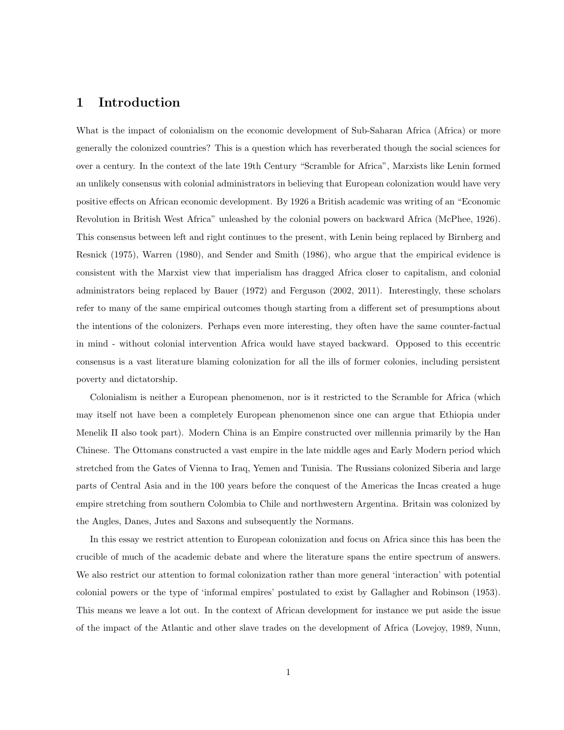#### 1 Introduction

What is the impact of colonialism on the economic development of Sub-Saharan Africa (Africa) or more generally the colonized countries? This is a question which has reverberated though the social sciences for over a century. In the context of the late 19th Century "Scramble for Africa", Marxists like Lenin formed an unlikely consensus with colonial administrators in believing that European colonization would have very positive effects on African economic development. By 1926 a British academic was writing of an "Economic Revolution in British West Africa" unleashed by the colonial powers on backward Africa (McPhee, 1926). This consensus between left and right continues to the present, with Lenin being replaced by Birnberg and Resnick (1975), Warren (1980), and Sender and Smith (1986), who argue that the empirical evidence is consistent with the Marxist view that imperialism has dragged Africa closer to capitalism, and colonial administrators being replaced by Bauer (1972) and Ferguson (2002, 2011). Interestingly, these scholars refer to many of the same empirical outcomes though starting from a different set of presumptions about the intentions of the colonizers. Perhaps even more interesting, they often have the same counter-factual in mind - without colonial intervention Africa would have stayed backward. Opposed to this eccentric consensus is a vast literature blaming colonization for all the ills of former colonies, including persistent poverty and dictatorship.

Colonialism is neither a European phenomenon, nor is it restricted to the Scramble for Africa (which may itself not have been a completely European phenomenon since one can argue that Ethiopia under Menelik II also took part). Modern China is an Empire constructed over millennia primarily by the Han Chinese. The Ottomans constructed a vast empire in the late middle ages and Early Modern period which stretched from the Gates of Vienna to Iraq, Yemen and Tunisia. The Russians colonized Siberia and large parts of Central Asia and in the 100 years before the conquest of the Americas the Incas created a huge empire stretching from southern Colombia to Chile and northwestern Argentina. Britain was colonized by the Angles, Danes, Jutes and Saxons and subsequently the Normans.

In this essay we restrict attention to European colonization and focus on Africa since this has been the crucible of much of the academic debate and where the literature spans the entire spectrum of answers. We also restrict our attention to formal colonization rather than more general 'interaction' with potential colonial powers or the type of 'informal empires' postulated to exist by Gallagher and Robinson (1953). This means we leave a lot out. In the context of African development for instance we put aside the issue of the impact of the Atlantic and other slave trades on the development of Africa (Lovejoy, 1989, Nunn,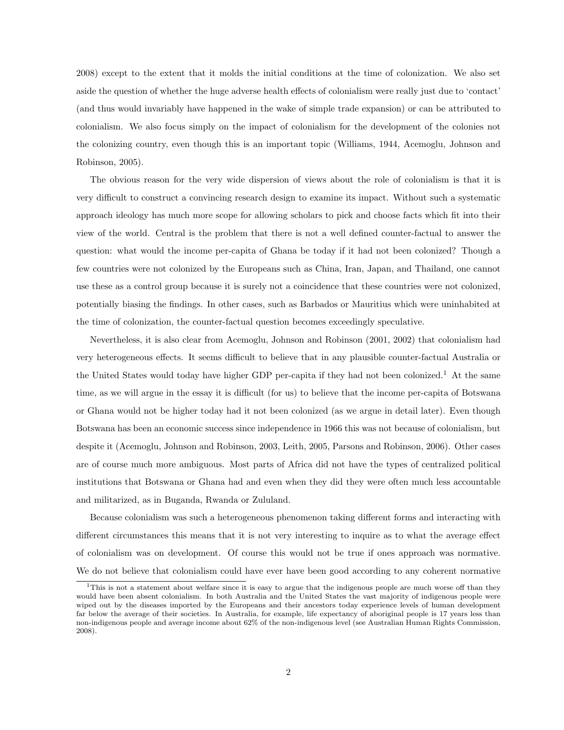2008) except to the extent that it molds the initial conditions at the time of colonization. We also set aside the question of whether the huge adverse health effects of colonialism were really just due to 'contact' (and thus would invariably have happened in the wake of simple trade expansion) or can be attributed to colonialism. We also focus simply on the impact of colonialism for the development of the colonies not the colonizing country, even though this is an important topic (Williams, 1944, Acemoglu, Johnson and Robinson, 2005).

The obvious reason for the very wide dispersion of views about the role of colonialism is that it is very difficult to construct a convincing research design to examine its impact. Without such a systematic approach ideology has much more scope for allowing scholars to pick and choose facts which fit into their view of the world. Central is the problem that there is not a well defined counter-factual to answer the question: what would the income per-capita of Ghana be today if it had not been colonized? Though a few countries were not colonized by the Europeans such as China, Iran, Japan, and Thailand, one cannot use these as a control group because it is surely not a coincidence that these countries were not colonized, potentially biasing the findings. In other cases, such as Barbados or Mauritius which were uninhabited at the time of colonization, the counter-factual question becomes exceedingly speculative.

Nevertheless, it is also clear from Acemoglu, Johnson and Robinson (2001, 2002) that colonialism had very heterogeneous effects. It seems difficult to believe that in any plausible counter-factual Australia or the United States would today have higher GDP per-capita if they had not been colonized.<sup>1</sup> At the same time, as we will argue in the essay it is difficult (for us) to believe that the income per-capita of Botswana or Ghana would not be higher today had it not been colonized (as we argue in detail later). Even though Botswana has been an economic success since independence in 1966 this was not because of colonialism, but despite it (Acemoglu, Johnson and Robinson, 2003, Leith, 2005, Parsons and Robinson, 2006). Other cases are of course much more ambiguous. Most parts of Africa did not have the types of centralized political institutions that Botswana or Ghana had and even when they did they were often much less accountable and militarized, as in Buganda, Rwanda or Zululand.

Because colonialism was such a heterogeneous phenomenon taking different forms and interacting with different circumstances this means that it is not very interesting to inquire as to what the average effect of colonialism was on development. Of course this would not be true if ones approach was normative. We do not believe that colonialism could have ever have been good according to any coherent normative

<sup>&</sup>lt;sup>1</sup>This is not a statement about welfare since it is easy to argue that the indigenous people are much worse off than they would have been absent colonialism. In both Australia and the United States the vast majority of indigenous people were wiped out by the diseases imported by the Europeans and their ancestors today experience levels of human development far below the average of their societies. In Australia, for example, life expectancy of aboriginal people is 17 years less than non-indigenous people and average income about 62% of the non-indigenous level (see Australian Human Rights Commission, 2008).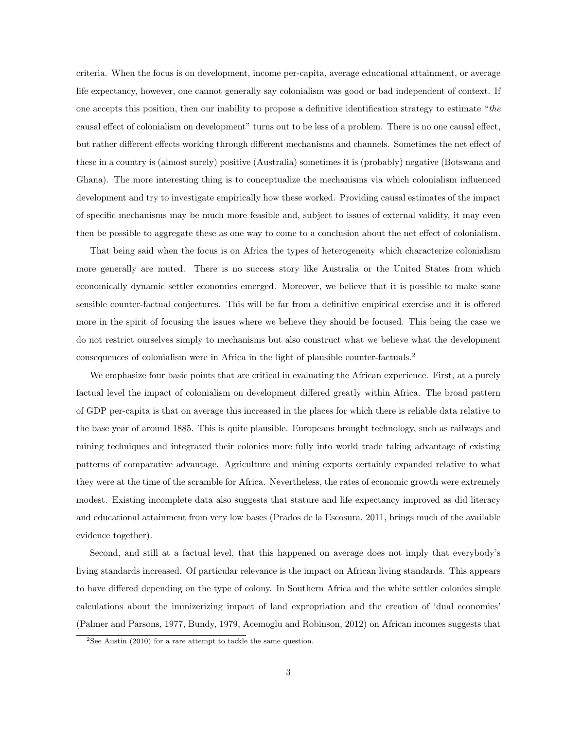criteria. When the focus is on development, income per-capita, average educational attainment, or average life expectancy, however, one cannot generally say colonialism was good or bad independent of context. If one accepts this position, then our inability to propose a definitive identification strategy to estimate "the causal effect of colonialism on development" turns out to be less of a problem. There is no one causal effect, but rather different effects working through different mechanisms and channels. Sometimes the net effect of these in a country is (almost surely) positive (Australia) sometimes it is (probably) negative (Botswana and Ghana). The more interesting thing is to conceptualize the mechanisms via which colonialism influenced development and try to investigate empirically how these worked. Providing causal estimates of the impact of specific mechanisms may be much more feasible and, subject to issues of external validity, it may even then be possible to aggregate these as one way to come to a conclusion about the net effect of colonialism.

That being said when the focus is on Africa the types of heterogeneity which characterize colonialism more generally are muted. There is no success story like Australia or the United States from which economically dynamic settler economies emerged. Moreover, we believe that it is possible to make some sensible counter-factual conjectures. This will be far from a definitive empirical exercise and it is offered more in the spirit of focusing the issues where we believe they should be focused. This being the case we do not restrict ourselves simply to mechanisms but also construct what we believe what the development consequences of colonialism were in Africa in the light of plausible counter-factuals.<sup>2</sup>

We emphasize four basic points that are critical in evaluating the African experience. First, at a purely factual level the impact of colonialism on development differed greatly within Africa. The broad pattern of GDP per-capita is that on average this increased in the places for which there is reliable data relative to the base year of around 1885. This is quite plausible. Europeans brought technology, such as railways and mining techniques and integrated their colonies more fully into world trade taking advantage of existing patterns of comparative advantage. Agriculture and mining exports certainly expanded relative to what they were at the time of the scramble for Africa. Nevertheless, the rates of economic growth were extremely modest. Existing incomplete data also suggests that stature and life expectancy improved as did literacy and educational attainment from very low bases (Prados de la Escosura, 2011, brings much of the available evidence together).

Second, and still at a factual level, that this happened on average does not imply that everybody's living standards increased. Of particular relevance is the impact on African living standards. This appears to have differed depending on the type of colony. In Southern Africa and the white settler colonies simple calculations about the immizerizing impact of land expropriation and the creation of 'dual economies' (Palmer and Parsons, 1977, Bundy, 1979, Acemoglu and Robinson, 2012) on African incomes suggests that

<sup>&</sup>lt;sup>2</sup>See Austin (2010) for a rare attempt to tackle the same question.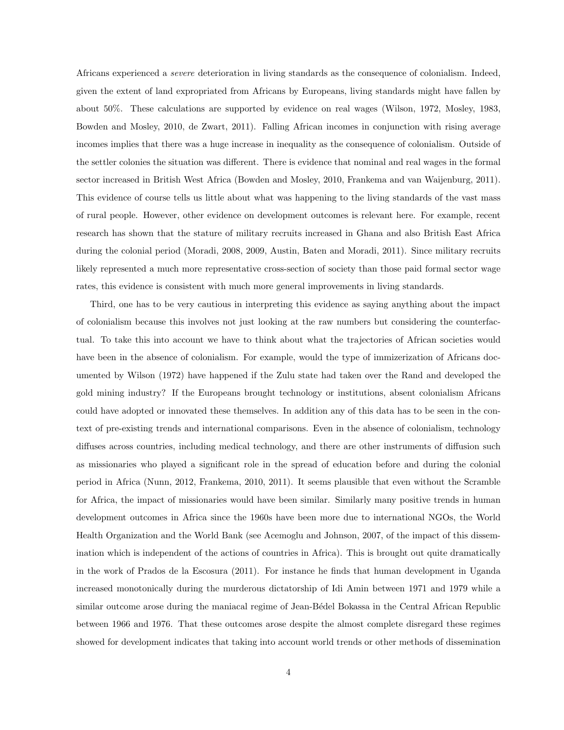Africans experienced a severe deterioration in living standards as the consequence of colonialism. Indeed, given the extent of land expropriated from Africans by Europeans, living standards might have fallen by about 50%. These calculations are supported by evidence on real wages (Wilson, 1972, Mosley, 1983, Bowden and Mosley, 2010, de Zwart, 2011). Falling African incomes in conjunction with rising average incomes implies that there was a huge increase in inequality as the consequence of colonialism. Outside of the settler colonies the situation was different. There is evidence that nominal and real wages in the formal sector increased in British West Africa (Bowden and Mosley, 2010, Frankema and van Waijenburg, 2011). This evidence of course tells us little about what was happening to the living standards of the vast mass of rural people. However, other evidence on development outcomes is relevant here. For example, recent research has shown that the stature of military recruits increased in Ghana and also British East Africa during the colonial period (Moradi, 2008, 2009, Austin, Baten and Moradi, 2011). Since military recruits likely represented a much more representative cross-section of society than those paid formal sector wage rates, this evidence is consistent with much more general improvements in living standards.

Third, one has to be very cautious in interpreting this evidence as saying anything about the impact of colonialism because this involves not just looking at the raw numbers but considering the counterfactual. To take this into account we have to think about what the trajectories of African societies would have been in the absence of colonialism. For example, would the type of immizerization of Africans documented by Wilson (1972) have happened if the Zulu state had taken over the Rand and developed the gold mining industry? If the Europeans brought technology or institutions, absent colonialism Africans could have adopted or innovated these themselves. In addition any of this data has to be seen in the context of pre-existing trends and international comparisons. Even in the absence of colonialism, technology diffuses across countries, including medical technology, and there are other instruments of diffusion such as missionaries who played a significant role in the spread of education before and during the colonial period in Africa (Nunn, 2012, Frankema, 2010, 2011). It seems plausible that even without the Scramble for Africa, the impact of missionaries would have been similar. Similarly many positive trends in human development outcomes in Africa since the 1960s have been more due to international NGOs, the World Health Organization and the World Bank (see Acemoglu and Johnson, 2007, of the impact of this dissemination which is independent of the actions of countries in Africa). This is brought out quite dramatically in the work of Prados de la Escosura (2011). For instance he finds that human development in Uganda increased monotonically during the murderous dictatorship of Idi Amin between 1971 and 1979 while a similar outcome arose during the maniacal regime of Jean-Bédel Bokassa in the Central African Republic between 1966 and 1976. That these outcomes arose despite the almost complete disregard these regimes showed for development indicates that taking into account world trends or other methods of dissemination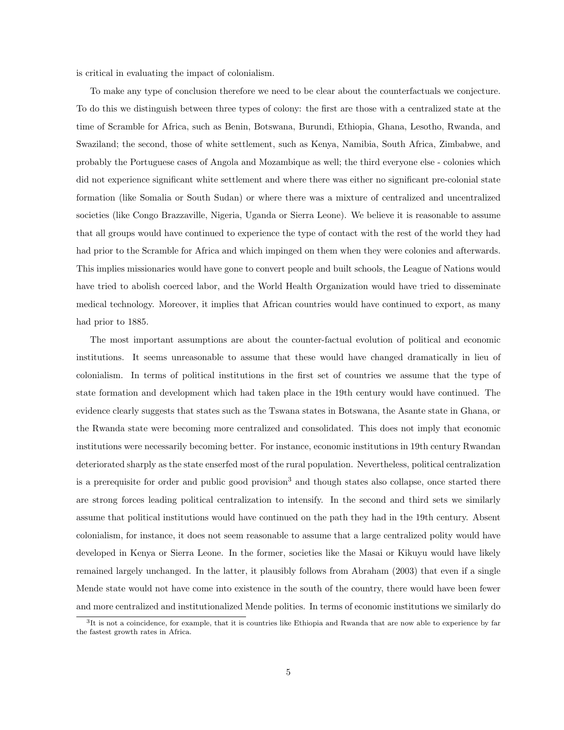is critical in evaluating the impact of colonialism.

To make any type of conclusion therefore we need to be clear about the counterfactuals we conjecture. To do this we distinguish between three types of colony: the first are those with a centralized state at the time of Scramble for Africa, such as Benin, Botswana, Burundi, Ethiopia, Ghana, Lesotho, Rwanda, and Swaziland; the second, those of white settlement, such as Kenya, Namibia, South Africa, Zimbabwe, and probably the Portuguese cases of Angola and Mozambique as well; the third everyone else - colonies which did not experience significant white settlement and where there was either no significant pre-colonial state formation (like Somalia or South Sudan) or where there was a mixture of centralized and uncentralized societies (like Congo Brazzaville, Nigeria, Uganda or Sierra Leone). We believe it is reasonable to assume that all groups would have continued to experience the type of contact with the rest of the world they had had prior to the Scramble for Africa and which impinged on them when they were colonies and afterwards. This implies missionaries would have gone to convert people and built schools, the League of Nations would have tried to abolish coerced labor, and the World Health Organization would have tried to disseminate medical technology. Moreover, it implies that African countries would have continued to export, as many had prior to 1885.

The most important assumptions are about the counter-factual evolution of political and economic institutions. It seems unreasonable to assume that these would have changed dramatically in lieu of colonialism. In terms of political institutions in the first set of countries we assume that the type of state formation and development which had taken place in the 19th century would have continued. The evidence clearly suggests that states such as the Tswana states in Botswana, the Asante state in Ghana, or the Rwanda state were becoming more centralized and consolidated. This does not imply that economic institutions were necessarily becoming better. For instance, economic institutions in 19th century Rwandan deteriorated sharply as the state enserfed most of the rural population. Nevertheless, political centralization is a prerequisite for order and public good provision<sup>3</sup> and though states also collapse, once started there are strong forces leading political centralization to intensify. In the second and third sets we similarly assume that political institutions would have continued on the path they had in the 19th century. Absent colonialism, for instance, it does not seem reasonable to assume that a large centralized polity would have developed in Kenya or Sierra Leone. In the former, societies like the Masai or Kikuyu would have likely remained largely unchanged. In the latter, it plausibly follows from Abraham (2003) that even if a single Mende state would not have come into existence in the south of the country, there would have been fewer and more centralized and institutionalized Mende polities. In terms of economic institutions we similarly do

 ${}^{3}$ It is not a coincidence, for example, that it is countries like Ethiopia and Rwanda that are now able to experience by far the fastest growth rates in Africa.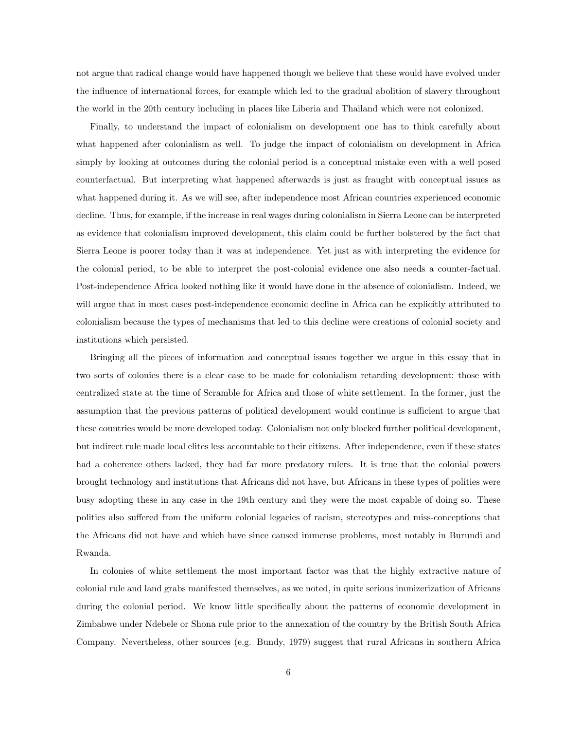not argue that radical change would have happened though we believe that these would have evolved under the influence of international forces, for example which led to the gradual abolition of slavery throughout the world in the 20th century including in places like Liberia and Thailand which were not colonized.

Finally, to understand the impact of colonialism on development one has to think carefully about what happened after colonialism as well. To judge the impact of colonialism on development in Africa simply by looking at outcomes during the colonial period is a conceptual mistake even with a well posed counterfactual. But interpreting what happened afterwards is just as fraught with conceptual issues as what happened during it. As we will see, after independence most African countries experienced economic decline. Thus, for example, if the increase in real wages during colonialism in Sierra Leone can be interpreted as evidence that colonialism improved development, this claim could be further bolstered by the fact that Sierra Leone is poorer today than it was at independence. Yet just as with interpreting the evidence for the colonial period, to be able to interpret the post-colonial evidence one also needs a counter-factual. Post-independence Africa looked nothing like it would have done in the absence of colonialism. Indeed, we will argue that in most cases post-independence economic decline in Africa can be explicitly attributed to colonialism because the types of mechanisms that led to this decline were creations of colonial society and institutions which persisted.

Bringing all the pieces of information and conceptual issues together we argue in this essay that in two sorts of colonies there is a clear case to be made for colonialism retarding development; those with centralized state at the time of Scramble for Africa and those of white settlement. In the former, just the assumption that the previous patterns of political development would continue is sufficient to argue that these countries would be more developed today. Colonialism not only blocked further political development, but indirect rule made local elites less accountable to their citizens. After independence, even if these states had a coherence others lacked, they had far more predatory rulers. It is true that the colonial powers brought technology and institutions that Africans did not have, but Africans in these types of polities were busy adopting these in any case in the 19th century and they were the most capable of doing so. These polities also suffered from the uniform colonial legacies of racism, stereotypes and miss-conceptions that the Africans did not have and which have since caused immense problems, most notably in Burundi and Rwanda.

In colonies of white settlement the most important factor was that the highly extractive nature of colonial rule and land grabs manifested themselves, as we noted, in quite serious immizerization of Africans during the colonial period. We know little specifically about the patterns of economic development in Zimbabwe under Ndebele or Shona rule prior to the annexation of the country by the British South Africa Company. Nevertheless, other sources (e.g. Bundy, 1979) suggest that rural Africans in southern Africa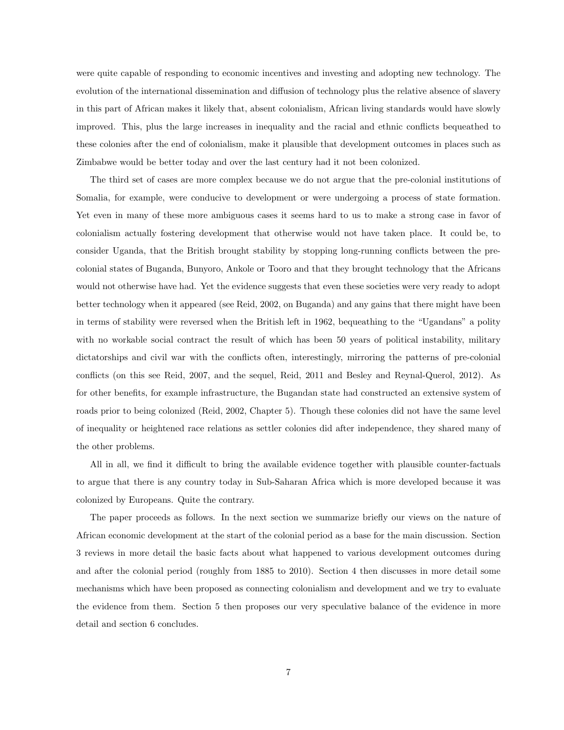were quite capable of responding to economic incentives and investing and adopting new technology. The evolution of the international dissemination and diffusion of technology plus the relative absence of slavery in this part of African makes it likely that, absent colonialism, African living standards would have slowly improved. This, plus the large increases in inequality and the racial and ethnic conflicts bequeathed to these colonies after the end of colonialism, make it plausible that development outcomes in places such as Zimbabwe would be better today and over the last century had it not been colonized.

The third set of cases are more complex because we do not argue that the pre-colonial institutions of Somalia, for example, were conducive to development or were undergoing a process of state formation. Yet even in many of these more ambiguous cases it seems hard to us to make a strong case in favor of colonialism actually fostering development that otherwise would not have taken place. It could be, to consider Uganda, that the British brought stability by stopping long-running conflicts between the precolonial states of Buganda, Bunyoro, Ankole or Tooro and that they brought technology that the Africans would not otherwise have had. Yet the evidence suggests that even these societies were very ready to adopt better technology when it appeared (see Reid, 2002, on Buganda) and any gains that there might have been in terms of stability were reversed when the British left in 1962, bequeathing to the "Ugandans" a polity with no workable social contract the result of which has been 50 years of political instability, military dictatorships and civil war with the conflicts often, interestingly, mirroring the patterns of pre-colonial conflicts (on this see Reid, 2007, and the sequel, Reid, 2011 and Besley and Reynal-Querol, 2012). As for other benefits, for example infrastructure, the Bugandan state had constructed an extensive system of roads prior to being colonized (Reid, 2002, Chapter 5). Though these colonies did not have the same level of inequality or heightened race relations as settler colonies did after independence, they shared many of the other problems.

All in all, we find it difficult to bring the available evidence together with plausible counter-factuals to argue that there is any country today in Sub-Saharan Africa which is more developed because it was colonized by Europeans. Quite the contrary.

The paper proceeds as follows. In the next section we summarize briefly our views on the nature of African economic development at the start of the colonial period as a base for the main discussion. Section 3 reviews in more detail the basic facts about what happened to various development outcomes during and after the colonial period (roughly from 1885 to 2010). Section 4 then discusses in more detail some mechanisms which have been proposed as connecting colonialism and development and we try to evaluate the evidence from them. Section 5 then proposes our very speculative balance of the evidence in more detail and section 6 concludes.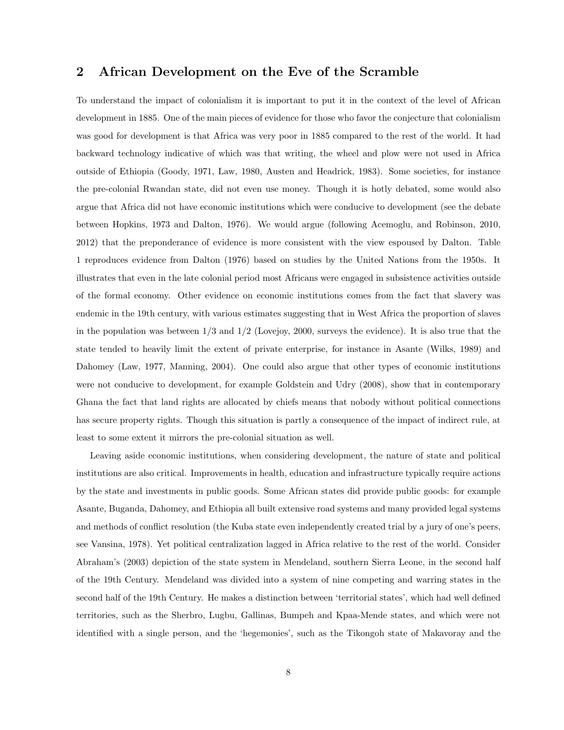# 2 African Development on the Eve of the Scramble

To understand the impact of colonialism it is important to put it in the context of the level of African development in 1885. One of the main pieces of evidence for those who favor the conjecture that colonialism was good for development is that Africa was very poor in 1885 compared to the rest of the world. It had backward technology indicative of which was that writing, the wheel and plow were not used in Africa outside of Ethiopia (Goody, 1971, Law, 1980, Austen and Headrick, 1983). Some societies, for instance the pre-colonial Rwandan state, did not even use money. Though it is hotly debated, some would also argue that Africa did not have economic institutions which were conducive to development (see the debate between Hopkins, 1973 and Dalton, 1976). We would argue (following Acemoglu, and Robinson, 2010, 2012) that the preponderance of evidence is more consistent with the view espoused by Dalton. Table 1 reproduces evidence from Dalton (1976) based on studies by the United Nations from the 1950s. It illustrates that even in the late colonial period most Africans were engaged in subsistence activities outside of the formal economy. Other evidence on economic institutions comes from the fact that slavery was endemic in the 19th century, with various estimates suggesting that in West Africa the proportion of slaves in the population was between  $1/3$  and  $1/2$  (Lovejoy, 2000, surveys the evidence). It is also true that the state tended to heavily limit the extent of private enterprise, for instance in Asante (Wilks, 1989) and Dahomey (Law, 1977, Manning, 2004). One could also argue that other types of economic institutions were not conducive to development, for example Goldstein and Udry (2008), show that in contemporary Ghana the fact that land rights are allocated by chiefs means that nobody without political connections has secure property rights. Though this situation is partly a consequence of the impact of indirect rule, at least to some extent it mirrors the pre-colonial situation as well.

Leaving aside economic institutions, when considering development, the nature of state and political institutions are also critical. Improvements in health, education and infrastructure typically require actions by the state and investments in public goods. Some African states did provide public goods: for example Asante, Buganda, Dahomey, and Ethiopia all built extensive road systems and many provided legal systems and methods of conflict resolution (the Kuba state even independently created trial by a jury of one's peers, see Vansina, 1978). Yet political centralization lagged in Africa relative to the rest of the world. Consider Abraham's (2003) depiction of the state system in Mendeland, southern Sierra Leone, in the second half of the 19th Century. Mendeland was divided into a system of nine competing and warring states in the second half of the 19th Century. He makes a distinction between 'territorial states', which had well defined territories, such as the Sherbro, Lugbu, Gallinas, Bumpeh and Kpaa-Mende states, and which were not identified with a single person, and the 'hegemonies', such as the Tikongoh state of Makavoray and the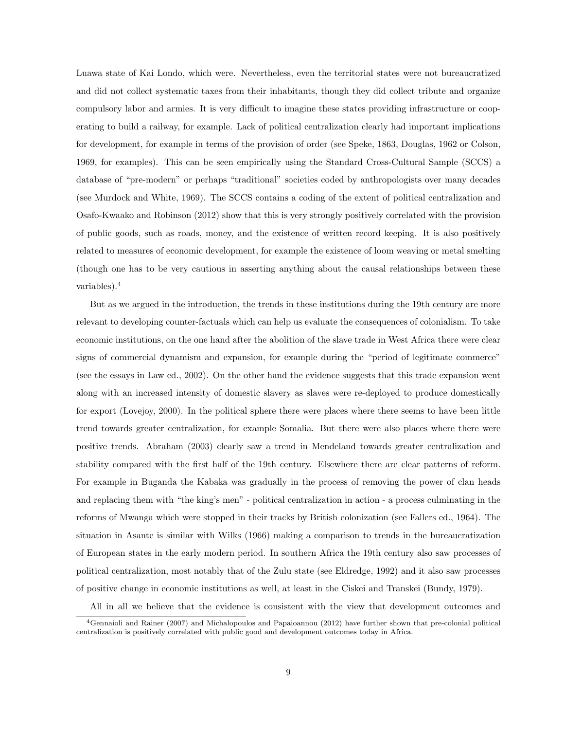Luawa state of Kai Londo, which were. Nevertheless, even the territorial states were not bureaucratized and did not collect systematic taxes from their inhabitants, though they did collect tribute and organize compulsory labor and armies. It is very difficult to imagine these states providing infrastructure or cooperating to build a railway, for example. Lack of political centralization clearly had important implications for development, for example in terms of the provision of order (see Speke, 1863, Douglas, 1962 or Colson, 1969, for examples). This can be seen empirically using the Standard Cross-Cultural Sample (SCCS) a database of "pre-modern" or perhaps "traditional" societies coded by anthropologists over many decades (see Murdock and White, 1969). The SCCS contains a coding of the extent of political centralization and Osafo-Kwaako and Robinson (2012) show that this is very strongly positively correlated with the provision of public goods, such as roads, money, and the existence of written record keeping. It is also positively related to measures of economic development, for example the existence of loom weaving or metal smelting (though one has to be very cautious in asserting anything about the causal relationships between these variables).<sup>4</sup>

But as we argued in the introduction, the trends in these institutions during the 19th century are more relevant to developing counter-factuals which can help us evaluate the consequences of colonialism. To take economic institutions, on the one hand after the abolition of the slave trade in West Africa there were clear signs of commercial dynamism and expansion, for example during the "period of legitimate commerce" (see the essays in Law ed., 2002). On the other hand the evidence suggests that this trade expansion went along with an increased intensity of domestic slavery as slaves were re-deployed to produce domestically for export (Lovejoy, 2000). In the political sphere there were places where there seems to have been little trend towards greater centralization, for example Somalia. But there were also places where there were positive trends. Abraham (2003) clearly saw a trend in Mendeland towards greater centralization and stability compared with the first half of the 19th century. Elsewhere there are clear patterns of reform. For example in Buganda the Kabaka was gradually in the process of removing the power of clan heads and replacing them with "the king's men" - political centralization in action - a process culminating in the reforms of Mwanga which were stopped in their tracks by British colonization (see Fallers ed., 1964). The situation in Asante is similar with Wilks (1966) making a comparison to trends in the bureaucratization of European states in the early modern period. In southern Africa the 19th century also saw processes of political centralization, most notably that of the Zulu state (see Eldredge, 1992) and it also saw processes of positive change in economic institutions as well, at least in the Ciskei and Transkei (Bundy, 1979).

All in all we believe that the evidence is consistent with the view that development outcomes and

 $4$ Gennaioli and Rainer (2007) and Michalopoulos and Papaioannou (2012) have further shown that pre-colonial political centralization is positively correlated with public good and development outcomes today in Africa.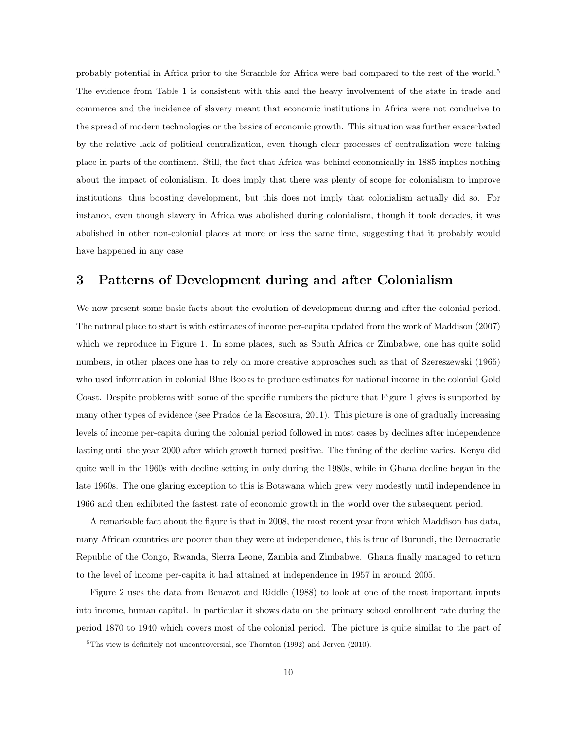probably potential in Africa prior to the Scramble for Africa were bad compared to the rest of the world.<sup>5</sup> The evidence from Table 1 is consistent with this and the heavy involvement of the state in trade and commerce and the incidence of slavery meant that economic institutions in Africa were not conducive to the spread of modern technologies or the basics of economic growth. This situation was further exacerbated by the relative lack of political centralization, even though clear processes of centralization were taking place in parts of the continent. Still, the fact that Africa was behind economically in 1885 implies nothing about the impact of colonialism. It does imply that there was plenty of scope for colonialism to improve institutions, thus boosting development, but this does not imply that colonialism actually did so. For instance, even though slavery in Africa was abolished during colonialism, though it took decades, it was abolished in other non-colonial places at more or less the same time, suggesting that it probably would have happened in any case

# 3 Patterns of Development during and after Colonialism

We now present some basic facts about the evolution of development during and after the colonial period. The natural place to start is with estimates of income per-capita updated from the work of Maddison (2007) which we reproduce in Figure 1. In some places, such as South Africa or Zimbabwe, one has quite solid numbers, in other places one has to rely on more creative approaches such as that of Szereszewski (1965) who used information in colonial Blue Books to produce estimates for national income in the colonial Gold Coast. Despite problems with some of the specific numbers the picture that Figure 1 gives is supported by many other types of evidence (see Prados de la Escosura, 2011). This picture is one of gradually increasing levels of income per-capita during the colonial period followed in most cases by declines after independence lasting until the year 2000 after which growth turned positive. The timing of the decline varies. Kenya did quite well in the 1960s with decline setting in only during the 1980s, while in Ghana decline began in the late 1960s. The one glaring exception to this is Botswana which grew very modestly until independence in 1966 and then exhibited the fastest rate of economic growth in the world over the subsequent period.

A remarkable fact about the figure is that in 2008, the most recent year from which Maddison has data, many African countries are poorer than they were at independence, this is true of Burundi, the Democratic Republic of the Congo, Rwanda, Sierra Leone, Zambia and Zimbabwe. Ghana finally managed to return to the level of income per-capita it had attained at independence in 1957 in around 2005.

Figure 2 uses the data from Benavot and Riddle (1988) to look at one of the most important inputs into income, human capital. In particular it shows data on the primary school enrollment rate during the period 1870 to 1940 which covers most of the colonial period. The picture is quite similar to the part of

<sup>5</sup>Ths view is definitely not uncontroversial, see Thornton (1992) and Jerven (2010).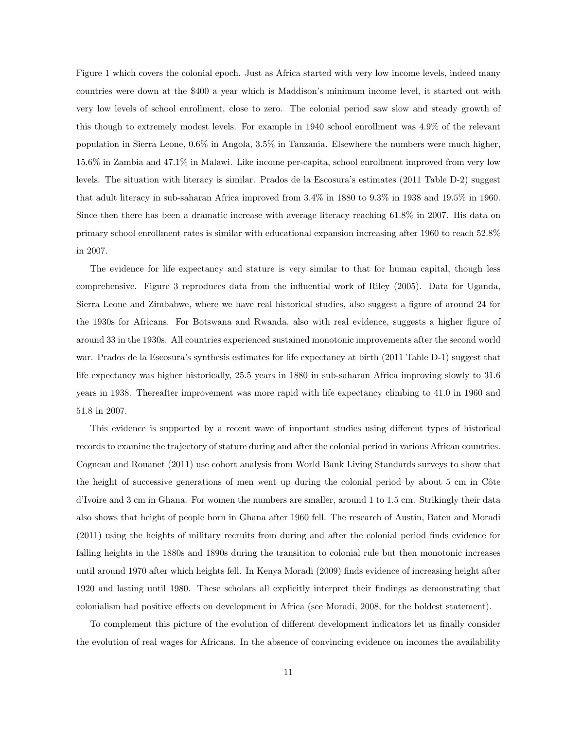Figure 1 which covers the colonial epoch. Just as Africa started with very low income levels, indeed many countries were down at the \$400 a year which is Maddison's minimum income level, it started out with very low levels of school enrollment, close to zero. The colonial period saw slow and steady growth of this though to extremely modest levels. For example in 1940 school enrollment was 4.9% of the relevant population in Sierra Leone, 0.6% in Angola, 3.5% in Tanzania. Elsewhere the numbers were much higher, 15.6% in Zambia and 47.1% in Malawi. Like income per-capita, school enrollment improved from very low levels. The situation with literacy is similar. Prados de la Escosura's estimates (2011 Table D-2) suggest that adult literacy in sub-saharan Africa improved from 3.4% in 1880 to 9.3% in 1938 and 19.5% in 1960. Since then there has been a dramatic increase with average literacy reaching 61.8% in 2007. His data on primary school enrollment rates is similar with educational expansion increasing after 1960 to reach 52.8% in 2007.

The evidence for life expectancy and stature is very similar to that for human capital, though less comprehensive. Figure 3 reproduces data from the influential work of Riley (2005). Data for Uganda, Sierra Leone and Zimbabwe, where we have real historical studies, also suggest a figure of around 24 for the 1930s for Africans. For Botswana and Rwanda, also with real evidence, suggests a higher figure of around 33 in the 1930s. All countries experienced sustained monotonic improvements after the second world war. Prados de la Escosura's synthesis estimates for life expectancy at birth (2011 Table D-1) suggest that life expectancy was higher historically, 25.5 years in 1880 in sub-saharan Africa improving slowly to 31.6 years in 1938. Thereafter improvement was more rapid with life expectancy climbing to 41.0 in 1960 and 51.8 in 2007.

This evidence is supported by a recent wave of important studies using different types of historical records to examine the trajectory of stature during and after the colonial period in various African countries. Cogneau and Rouanet (2011) use cohort analysis from World Bank Living Standards surveys to show that the height of successive generations of men went up during the colonial period by about 5 cm in Côte d'Ivoire and 3 cm in Ghana. For women the numbers are smaller, around 1 to 1.5 cm. Strikingly their data also shows that height of people born in Ghana after 1960 fell. The research of Austin, Baten and Moradi (2011) using the heights of military recruits from during and after the colonial period finds evidence for falling heights in the 1880s and 1890s during the transition to colonial rule but then monotonic increases until around 1970 after which heights fell. In Kenya Moradi (2009) finds evidence of increasing height after 1920 and lasting until 1980. These scholars all explicitly interpret their findings as demonstrating that colonialism had positive effects on development in Africa (see Moradi, 2008, for the boldest statement).

To complement this picture of the evolution of different development indicators let us finally consider the evolution of real wages for Africans. In the absence of convincing evidence on incomes the availability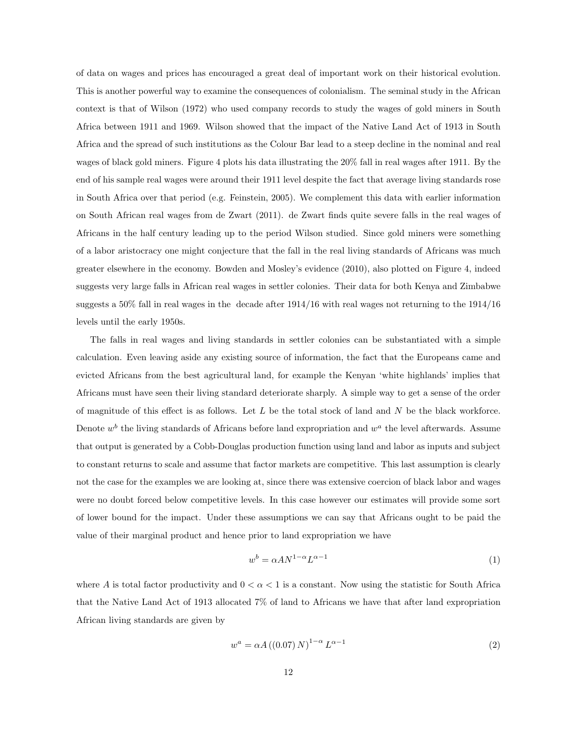of data on wages and prices has encouraged a great deal of important work on their historical evolution. This is another powerful way to examine the consequences of colonialism. The seminal study in the African context is that of Wilson (1972) who used company records to study the wages of gold miners in South Africa between 1911 and 1969. Wilson showed that the impact of the Native Land Act of 1913 in South Africa and the spread of such institutions as the Colour Bar lead to a steep decline in the nominal and real wages of black gold miners. Figure 4 plots his data illustrating the 20% fall in real wages after 1911. By the end of his sample real wages were around their 1911 level despite the fact that average living standards rose in South Africa over that period (e.g. Feinstein, 2005). We complement this data with earlier information on South African real wages from de Zwart (2011). de Zwart finds quite severe falls in the real wages of Africans in the half century leading up to the period Wilson studied. Since gold miners were something of a labor aristocracy one might conjecture that the fall in the real living standards of Africans was much greater elsewhere in the economy. Bowden and Mosley's evidence (2010), also plotted on Figure 4, indeed suggests very large falls in African real wages in settler colonies. Their data for both Kenya and Zimbabwe suggests a 50% fall in real wages in the decade after 1914/16 with real wages not returning to the 1914/16 levels until the early 1950s.

The falls in real wages and living standards in settler colonies can be substantiated with a simple calculation. Even leaving aside any existing source of information, the fact that the Europeans came and evicted Africans from the best agricultural land, for example the Kenyan 'white highlands' implies that Africans must have seen their living standard deteriorate sharply. A simple way to get a sense of the order of magnitude of this effect is as follows. Let  $L$  be the total stock of land and  $N$  be the black workforce. Denote  $w^b$  the living standards of Africans before land expropriation and  $w^a$  the level afterwards. Assume that output is generated by a Cobb-Douglas production function using land and labor as inputs and subject to constant returns to scale and assume that factor markets are competitive. This last assumption is clearly not the case for the examples we are looking at, since there was extensive coercion of black labor and wages were no doubt forced below competitive levels. In this case however our estimates will provide some sort of lower bound for the impact. Under these assumptions we can say that Africans ought to be paid the value of their marginal product and hence prior to land expropriation we have

$$
w^b = \alpha A N^{1-\alpha} L^{\alpha - 1} \tag{1}
$$

where A is total factor productivity and  $0 < \alpha < 1$  is a constant. Now using the statistic for South Africa that the Native Land Act of 1913 allocated 7% of land to Africans we have that after land expropriation African living standards are given by

$$
w^{a} = \alpha A \left( \left( 0.07 \right) N \right)^{1-\alpha} L^{\alpha - 1} \tag{2}
$$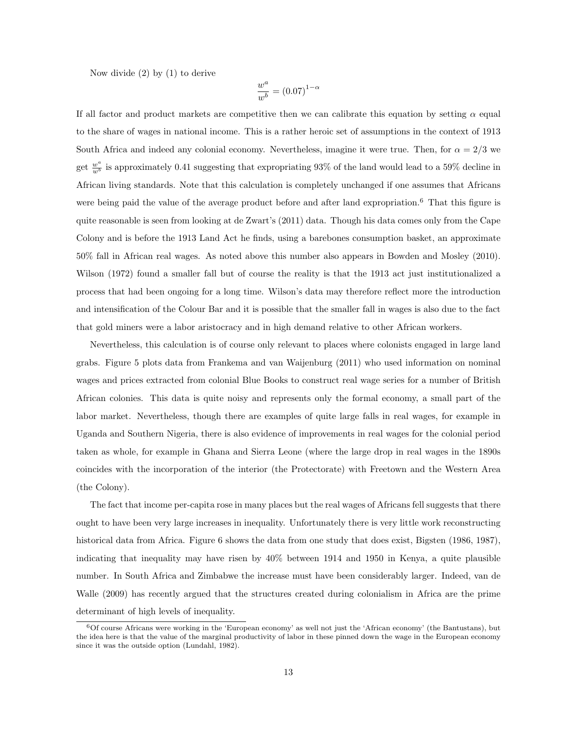Now divide (2) by (1) to derive

$$
\frac{w^a}{w^b} = (0.07)^{1-\alpha}
$$

If all factor and product markets are competitive then we can calibrate this equation by setting  $\alpha$  equal to the share of wages in national income. This is a rather heroic set of assumptions in the context of 1913 South Africa and indeed any colonial economy. Nevertheless, imagine it were true. Then, for  $\alpha = 2/3$  we get  $\frac{w^a}{w^b}$  is approximately 0.41 suggesting that expropriating 93% of the land would lead to a 59% decline in African living standards. Note that this calculation is completely unchanged if one assumes that Africans were being paid the value of the average product before and after land expropriation.<sup>6</sup> That this figure is quite reasonable is seen from looking at de Zwart's (2011) data. Though his data comes only from the Cape Colony and is before the 1913 Land Act he finds, using a barebones consumption basket, an approximate 50% fall in African real wages. As noted above this number also appears in Bowden and Mosley (2010). Wilson (1972) found a smaller fall but of course the reality is that the 1913 act just institutionalized a process that had been ongoing for a long time. Wilson's data may therefore reflect more the introduction and intensification of the Colour Bar and it is possible that the smaller fall in wages is also due to the fact that gold miners were a labor aristocracy and in high demand relative to other African workers.

Nevertheless, this calculation is of course only relevant to places where colonists engaged in large land grabs. Figure 5 plots data from Frankema and van Waijenburg (2011) who used information on nominal wages and prices extracted from colonial Blue Books to construct real wage series for a number of British African colonies. This data is quite noisy and represents only the formal economy, a small part of the labor market. Nevertheless, though there are examples of quite large falls in real wages, for example in Uganda and Southern Nigeria, there is also evidence of improvements in real wages for the colonial period taken as whole, for example in Ghana and Sierra Leone (where the large drop in real wages in the 1890s coincides with the incorporation of the interior (the Protectorate) with Freetown and the Western Area (the Colony).

The fact that income per-capita rose in many places but the real wages of Africans fell suggests that there ought to have been very large increases in inequality. Unfortunately there is very little work reconstructing historical data from Africa. Figure 6 shows the data from one study that does exist, Bigsten (1986, 1987), indicating that inequality may have risen by 40% between 1914 and 1950 in Kenya, a quite plausible number. In South Africa and Zimbabwe the increase must have been considerably larger. Indeed, van de Walle (2009) has recently argued that the structures created during colonialism in Africa are the prime determinant of high levels of inequality.

 $60f$  course Africans were working in the 'European economy' as well not just the 'African economy' (the Bantustans), but the idea here is that the value of the marginal productivity of labor in these pinned down the wage in the European economy since it was the outside option (Lundahl, 1982).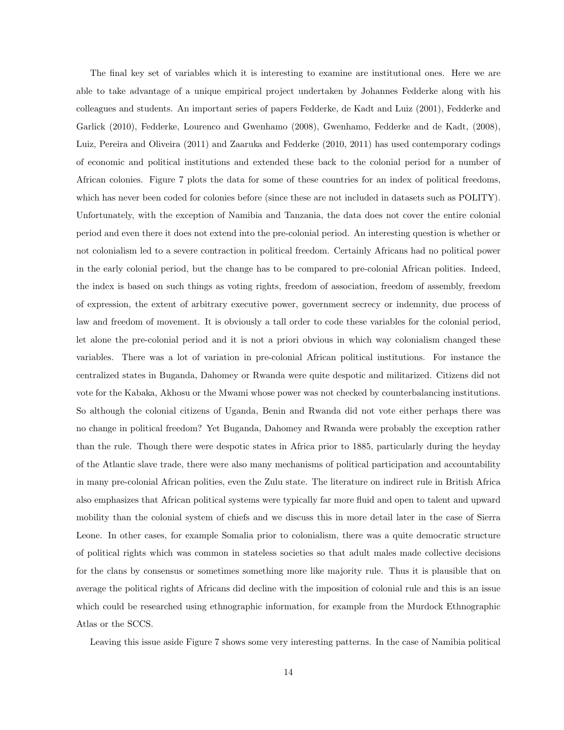The final key set of variables which it is interesting to examine are institutional ones. Here we are able to take advantage of a unique empirical project undertaken by Johannes Fedderke along with his colleagues and students. An important series of papers Fedderke, de Kadt and Luiz (2001), Fedderke and Garlick (2010), Fedderke, Lourenco and Gwenhamo (2008), Gwenhamo, Fedderke and de Kadt, (2008), Luiz, Pereira and Oliveira (2011) and Zaaruka and Fedderke (2010, 2011) has used contemporary codings of economic and political institutions and extended these back to the colonial period for a number of African colonies. Figure 7 plots the data for some of these countries for an index of political freedoms, which has never been coded for colonies before (since these are not included in datasets such as POLITY). Unfortunately, with the exception of Namibia and Tanzania, the data does not cover the entire colonial period and even there it does not extend into the pre-colonial period. An interesting question is whether or not colonialism led to a severe contraction in political freedom. Certainly Africans had no political power in the early colonial period, but the change has to be compared to pre-colonial African polities. Indeed, the index is based on such things as voting rights, freedom of association, freedom of assembly, freedom of expression, the extent of arbitrary executive power, government secrecy or indemnity, due process of law and freedom of movement. It is obviously a tall order to code these variables for the colonial period, let alone the pre-colonial period and it is not a priori obvious in which way colonialism changed these variables. There was a lot of variation in pre-colonial African political institutions. For instance the centralized states in Buganda, Dahomey or Rwanda were quite despotic and militarized. Citizens did not vote for the Kabaka, Akhosu or the Mwami whose power was not checked by counterbalancing institutions. So although the colonial citizens of Uganda, Benin and Rwanda did not vote either perhaps there was no change in political freedom? Yet Buganda, Dahomey and Rwanda were probably the exception rather than the rule. Though there were despotic states in Africa prior to 1885, particularly during the heyday of the Atlantic slave trade, there were also many mechanisms of political participation and accountability in many pre-colonial African polities, even the Zulu state. The literature on indirect rule in British Africa also emphasizes that African political systems were typically far more fluid and open to talent and upward mobility than the colonial system of chiefs and we discuss this in more detail later in the case of Sierra Leone. In other cases, for example Somalia prior to colonialism, there was a quite democratic structure of political rights which was common in stateless societies so that adult males made collective decisions for the clans by consensus or sometimes something more like majority rule. Thus it is plausible that on average the political rights of Africans did decline with the imposition of colonial rule and this is an issue which could be researched using ethnographic information, for example from the Murdock Ethnographic Atlas or the SCCS.

Leaving this issue aside Figure 7 shows some very interesting patterns. In the case of Namibia political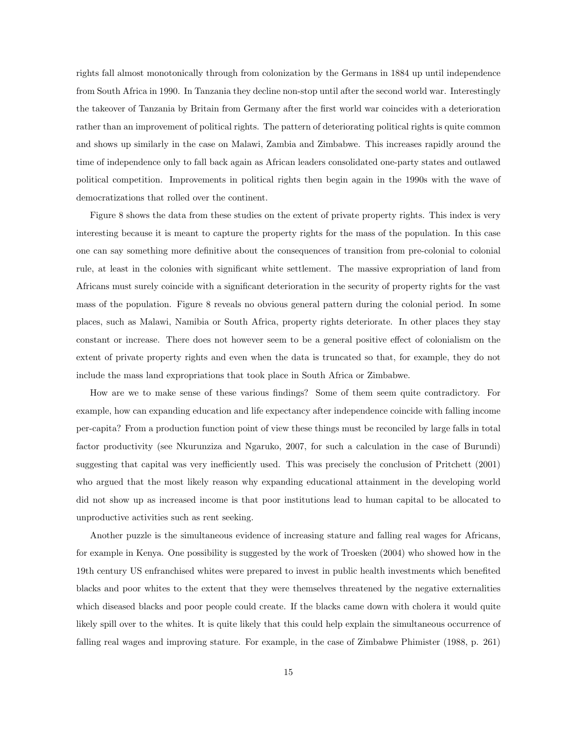rights fall almost monotonically through from colonization by the Germans in 1884 up until independence from South Africa in 1990. In Tanzania they decline non-stop until after the second world war. Interestingly the takeover of Tanzania by Britain from Germany after the first world war coincides with a deterioration rather than an improvement of political rights. The pattern of deteriorating political rights is quite common and shows up similarly in the case on Malawi, Zambia and Zimbabwe. This increases rapidly around the time of independence only to fall back again as African leaders consolidated one-party states and outlawed political competition. Improvements in political rights then begin again in the 1990s with the wave of democratizations that rolled over the continent.

Figure 8 shows the data from these studies on the extent of private property rights. This index is very interesting because it is meant to capture the property rights for the mass of the population. In this case one can say something more definitive about the consequences of transition from pre-colonial to colonial rule, at least in the colonies with significant white settlement. The massive expropriation of land from Africans must surely coincide with a significant deterioration in the security of property rights for the vast mass of the population. Figure 8 reveals no obvious general pattern during the colonial period. In some places, such as Malawi, Namibia or South Africa, property rights deteriorate. In other places they stay constant or increase. There does not however seem to be a general positive effect of colonialism on the extent of private property rights and even when the data is truncated so that, for example, they do not include the mass land expropriations that took place in South Africa or Zimbabwe.

How are we to make sense of these various findings? Some of them seem quite contradictory. For example, how can expanding education and life expectancy after independence coincide with falling income per-capita? From a production function point of view these things must be reconciled by large falls in total factor productivity (see Nkurunziza and Ngaruko, 2007, for such a calculation in the case of Burundi) suggesting that capital was very inefficiently used. This was precisely the conclusion of Pritchett (2001) who argued that the most likely reason why expanding educational attainment in the developing world did not show up as increased income is that poor institutions lead to human capital to be allocated to unproductive activities such as rent seeking.

Another puzzle is the simultaneous evidence of increasing stature and falling real wages for Africans, for example in Kenya. One possibility is suggested by the work of Troesken (2004) who showed how in the 19th century US enfranchised whites were prepared to invest in public health investments which benefited blacks and poor whites to the extent that they were themselves threatened by the negative externalities which diseased blacks and poor people could create. If the blacks came down with cholera it would quite likely spill over to the whites. It is quite likely that this could help explain the simultaneous occurrence of falling real wages and improving stature. For example, in the case of Zimbabwe Phimister (1988, p. 261)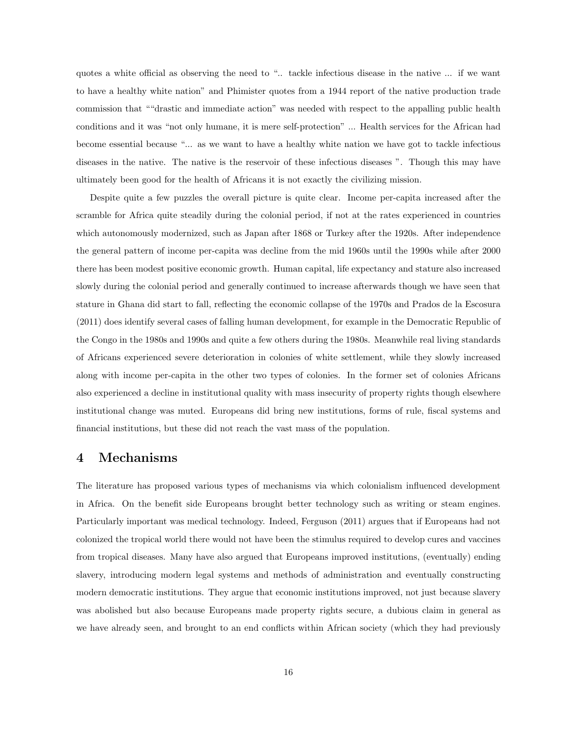quotes a white official as observing the need to ".. tackle infectious disease in the native ... if we want to have a healthy white nation" and Phimister quotes from a 1944 report of the native production trade commission that ""drastic and immediate action" was needed with respect to the appalling public health conditions and it was "not only humane, it is mere self-protection" ... Health services for the African had become essential because "... as we want to have a healthy white nation we have got to tackle infectious diseases in the native. The native is the reservoir of these infectious diseases ". Though this may have ultimately been good for the health of Africans it is not exactly the civilizing mission.

Despite quite a few puzzles the overall picture is quite clear. Income per-capita increased after the scramble for Africa quite steadily during the colonial period, if not at the rates experienced in countries which autonomously modernized, such as Japan after 1868 or Turkey after the 1920s. After independence the general pattern of income per-capita was decline from the mid 1960s until the 1990s while after 2000 there has been modest positive economic growth. Human capital, life expectancy and stature also increased slowly during the colonial period and generally continued to increase afterwards though we have seen that stature in Ghana did start to fall, reflecting the economic collapse of the 1970s and Prados de la Escosura (2011) does identify several cases of falling human development, for example in the Democratic Republic of the Congo in the 1980s and 1990s and quite a few others during the 1980s. Meanwhile real living standards of Africans experienced severe deterioration in colonies of white settlement, while they slowly increased along with income per-capita in the other two types of colonies. In the former set of colonies Africans also experienced a decline in institutional quality with mass insecurity of property rights though elsewhere institutional change was muted. Europeans did bring new institutions, forms of rule, fiscal systems and financial institutions, but these did not reach the vast mass of the population.

### 4 Mechanisms

The literature has proposed various types of mechanisms via which colonialism influenced development in Africa. On the benefit side Europeans brought better technology such as writing or steam engines. Particularly important was medical technology. Indeed, Ferguson (2011) argues that if Europeans had not colonized the tropical world there would not have been the stimulus required to develop cures and vaccines from tropical diseases. Many have also argued that Europeans improved institutions, (eventually) ending slavery, introducing modern legal systems and methods of administration and eventually constructing modern democratic institutions. They argue that economic institutions improved, not just because slavery was abolished but also because Europeans made property rights secure, a dubious claim in general as we have already seen, and brought to an end conflicts within African society (which they had previously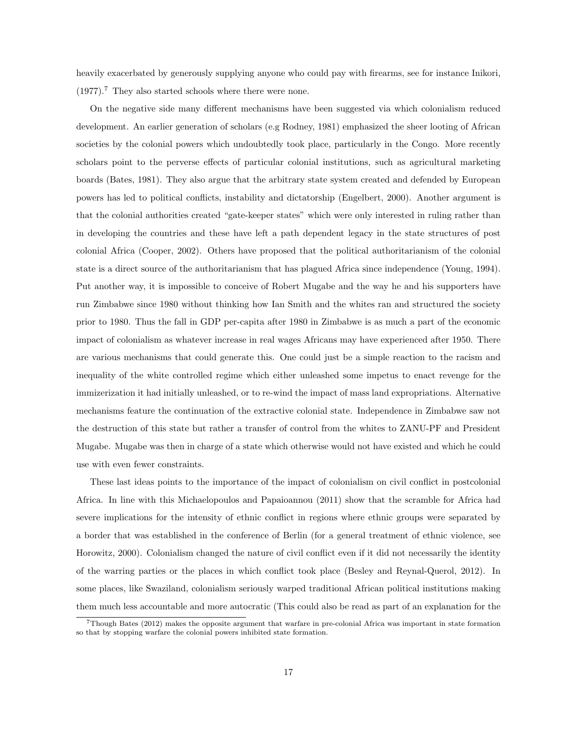heavily exacerbated by generously supplying anyone who could pay with firearms, see for instance Inikori, (1977).<sup>7</sup> They also started schools where there were none.

On the negative side many different mechanisms have been suggested via which colonialism reduced development. An earlier generation of scholars (e.g Rodney, 1981) emphasized the sheer looting of African societies by the colonial powers which undoubtedly took place, particularly in the Congo. More recently scholars point to the perverse effects of particular colonial institutions, such as agricultural marketing boards (Bates, 1981). They also argue that the arbitrary state system created and defended by European powers has led to political conflicts, instability and dictatorship (Engelbert, 2000). Another argument is that the colonial authorities created "gate-keeper states" which were only interested in ruling rather than in developing the countries and these have left a path dependent legacy in the state structures of post colonial Africa (Cooper, 2002). Others have proposed that the political authoritarianism of the colonial state is a direct source of the authoritarianism that has plagued Africa since independence (Young, 1994). Put another way, it is impossible to conceive of Robert Mugabe and the way he and his supporters have run Zimbabwe since 1980 without thinking how Ian Smith and the whites ran and structured the society prior to 1980. Thus the fall in GDP per-capita after 1980 in Zimbabwe is as much a part of the economic impact of colonialism as whatever increase in real wages Africans may have experienced after 1950. There are various mechanisms that could generate this. One could just be a simple reaction to the racism and inequality of the white controlled regime which either unleashed some impetus to enact revenge for the immizerization it had initially unleashed, or to re-wind the impact of mass land expropriations. Alternative mechanisms feature the continuation of the extractive colonial state. Independence in Zimbabwe saw not the destruction of this state but rather a transfer of control from the whites to ZANU-PF and President Mugabe. Mugabe was then in charge of a state which otherwise would not have existed and which he could use with even fewer constraints.

These last ideas points to the importance of the impact of colonialism on civil conflict in postcolonial Africa. In line with this Michaelopoulos and Papaioannou (2011) show that the scramble for Africa had severe implications for the intensity of ethnic conflict in regions where ethnic groups were separated by a border that was established in the conference of Berlin (for a general treatment of ethnic violence, see Horowitz, 2000). Colonialism changed the nature of civil conflict even if it did not necessarily the identity of the warring parties or the places in which conflict took place (Besley and Reynal-Querol, 2012). In some places, like Swaziland, colonialism seriously warped traditional African political institutions making them much less accountable and more autocratic (This could also be read as part of an explanation for the

<sup>7</sup>Though Bates (2012) makes the opposite argument that warfare in pre-colonial Africa was important in state formation so that by stopping warfare the colonial powers inhibited state formation.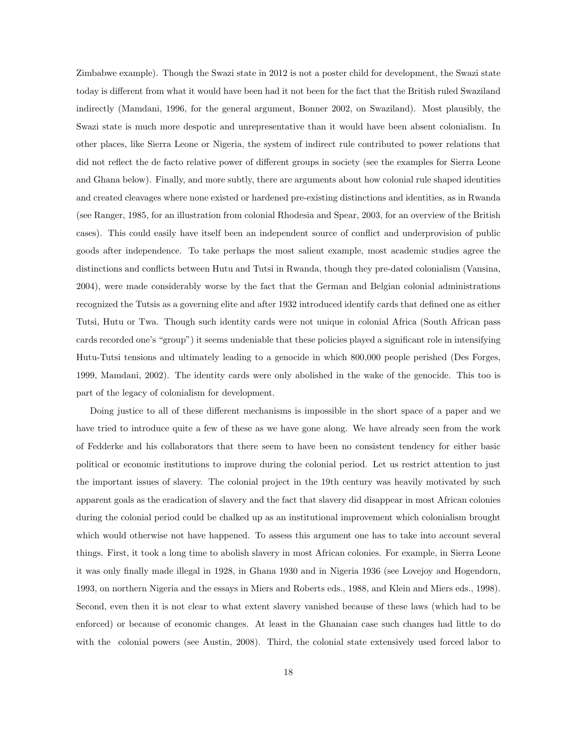Zimbabwe example). Though the Swazi state in 2012 is not a poster child for development, the Swazi state today is different from what it would have been had it not been for the fact that the British ruled Swaziland indirectly (Mamdani, 1996, for the general argument, Bonner 2002, on Swaziland). Most plausibly, the Swazi state is much more despotic and unrepresentative than it would have been absent colonialism. In other places, like Sierra Leone or Nigeria, the system of indirect rule contributed to power relations that did not reflect the de facto relative power of different groups in society (see the examples for Sierra Leone and Ghana below). Finally, and more subtly, there are arguments about how colonial rule shaped identities and created cleavages where none existed or hardened pre-existing distinctions and identities, as in Rwanda (see Ranger, 1985, for an illustration from colonial Rhodesia and Spear, 2003, for an overview of the British cases). This could easily have itself been an independent source of conflict and underprovision of public goods after independence. To take perhaps the most salient example, most academic studies agree the distinctions and conflicts between Hutu and Tutsi in Rwanda, though they pre-dated colonialism (Vansina, 2004), were made considerably worse by the fact that the German and Belgian colonial administrations recognized the Tutsis as a governing elite and after 1932 introduced identify cards that defined one as either Tutsi, Hutu or Twa. Though such identity cards were not unique in colonial Africa (South African pass cards recorded one's "group") it seems undeniable that these policies played a significant role in intensifying Hutu-Tutsi tensions and ultimately leading to a genocide in which 800,000 people perished (Des Forges, 1999, Mamdani, 2002). The identity cards were only abolished in the wake of the genocide. This too is part of the legacy of colonialism for development.

Doing justice to all of these different mechanisms is impossible in the short space of a paper and we have tried to introduce quite a few of these as we have gone along. We have already seen from the work of Fedderke and his collaborators that there seem to have been no consistent tendency for either basic political or economic institutions to improve during the colonial period. Let us restrict attention to just the important issues of slavery. The colonial project in the 19th century was heavily motivated by such apparent goals as the eradication of slavery and the fact that slavery did disappear in most African colonies during the colonial period could be chalked up as an institutional improvement which colonialism brought which would otherwise not have happened. To assess this argument one has to take into account several things. First, it took a long time to abolish slavery in most African colonies. For example, in Sierra Leone it was only finally made illegal in 1928, in Ghana 1930 and in Nigeria 1936 (see Lovejoy and Hogendorn, 1993, on northern Nigeria and the essays in Miers and Roberts eds., 1988, and Klein and Miers eds., 1998). Second, even then it is not clear to what extent slavery vanished because of these laws (which had to be enforced) or because of economic changes. At least in the Ghanaian case such changes had little to do with the colonial powers (see Austin, 2008). Third, the colonial state extensively used forced labor to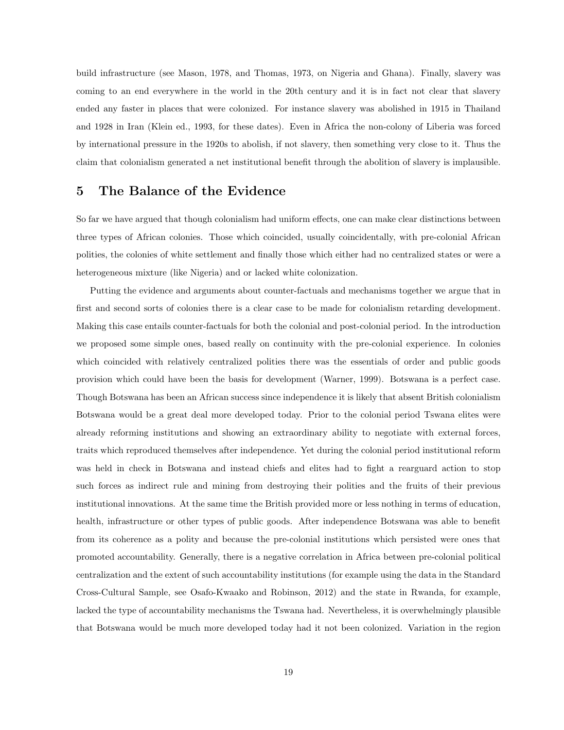build infrastructure (see Mason, 1978, and Thomas, 1973, on Nigeria and Ghana). Finally, slavery was coming to an end everywhere in the world in the 20th century and it is in fact not clear that slavery ended any faster in places that were colonized. For instance slavery was abolished in 1915 in Thailand and 1928 in Iran (Klein ed., 1993, for these dates). Even in Africa the non-colony of Liberia was forced by international pressure in the 1920s to abolish, if not slavery, then something very close to it. Thus the claim that colonialism generated a net institutional benefit through the abolition of slavery is implausible.

### 5 The Balance of the Evidence

So far we have argued that though colonialism had uniform effects, one can make clear distinctions between three types of African colonies. Those which coincided, usually coincidentally, with pre-colonial African polities, the colonies of white settlement and finally those which either had no centralized states or were a heterogeneous mixture (like Nigeria) and or lacked white colonization.

Putting the evidence and arguments about counter-factuals and mechanisms together we argue that in first and second sorts of colonies there is a clear case to be made for colonialism retarding development. Making this case entails counter-factuals for both the colonial and post-colonial period. In the introduction we proposed some simple ones, based really on continuity with the pre-colonial experience. In colonies which coincided with relatively centralized polities there was the essentials of order and public goods provision which could have been the basis for development (Warner, 1999). Botswana is a perfect case. Though Botswana has been an African success since independence it is likely that absent British colonialism Botswana would be a great deal more developed today. Prior to the colonial period Tswana elites were already reforming institutions and showing an extraordinary ability to negotiate with external forces, traits which reproduced themselves after independence. Yet during the colonial period institutional reform was held in check in Botswana and instead chiefs and elites had to fight a rearguard action to stop such forces as indirect rule and mining from destroying their polities and the fruits of their previous institutional innovations. At the same time the British provided more or less nothing in terms of education, health, infrastructure or other types of public goods. After independence Botswana was able to benefit from its coherence as a polity and because the pre-colonial institutions which persisted were ones that promoted accountability. Generally, there is a negative correlation in Africa between pre-colonial political centralization and the extent of such accountability institutions (for example using the data in the Standard Cross-Cultural Sample, see Osafo-Kwaako and Robinson, 2012) and the state in Rwanda, for example, lacked the type of accountability mechanisms the Tswana had. Nevertheless, it is overwhelmingly plausible that Botswana would be much more developed today had it not been colonized. Variation in the region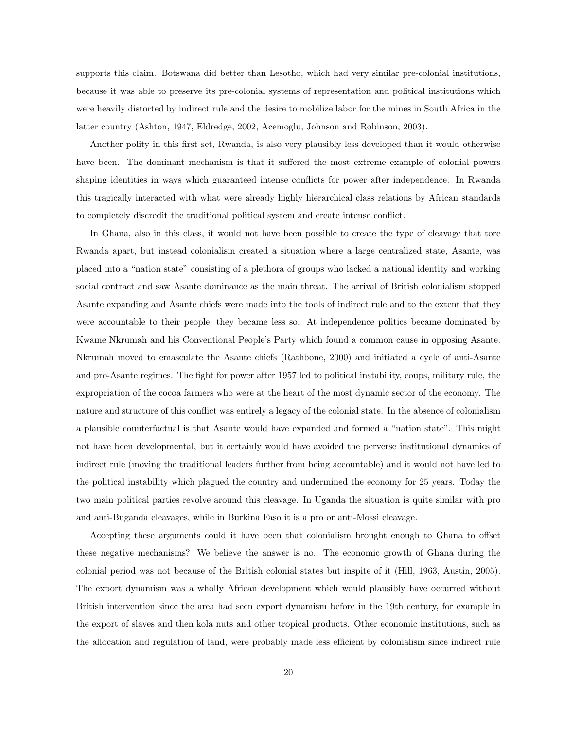supports this claim. Botswana did better than Lesotho, which had very similar pre-colonial institutions, because it was able to preserve its pre-colonial systems of representation and political institutions which were heavily distorted by indirect rule and the desire to mobilize labor for the mines in South Africa in the latter country (Ashton, 1947, Eldredge, 2002, Acemoglu, Johnson and Robinson, 2003).

Another polity in this first set, Rwanda, is also very plausibly less developed than it would otherwise have been. The dominant mechanism is that it suffered the most extreme example of colonial powers shaping identities in ways which guaranteed intense conflicts for power after independence. In Rwanda this tragically interacted with what were already highly hierarchical class relations by African standards to completely discredit the traditional political system and create intense conflict.

In Ghana, also in this class, it would not have been possible to create the type of cleavage that tore Rwanda apart, but instead colonialism created a situation where a large centralized state, Asante, was placed into a "nation state" consisting of a plethora of groups who lacked a national identity and working social contract and saw Asante dominance as the main threat. The arrival of British colonialism stopped Asante expanding and Asante chiefs were made into the tools of indirect rule and to the extent that they were accountable to their people, they became less so. At independence politics became dominated by Kwame Nkrumah and his Conventional People's Party which found a common cause in opposing Asante. Nkrumah moved to emasculate the Asante chiefs (Rathbone, 2000) and initiated a cycle of anti-Asante and pro-Asante regimes. The fight for power after 1957 led to political instability, coups, military rule, the expropriation of the cocoa farmers who were at the heart of the most dynamic sector of the economy. The nature and structure of this conflict was entirely a legacy of the colonial state. In the absence of colonialism a plausible counterfactual is that Asante would have expanded and formed a "nation state". This might not have been developmental, but it certainly would have avoided the perverse institutional dynamics of indirect rule (moving the traditional leaders further from being accountable) and it would not have led to the political instability which plagued the country and undermined the economy for 25 years. Today the two main political parties revolve around this cleavage. In Uganda the situation is quite similar with pro and anti-Buganda cleavages, while in Burkina Faso it is a pro or anti-Mossi cleavage.

Accepting these arguments could it have been that colonialism brought enough to Ghana to offset these negative mechanisms? We believe the answer is no. The economic growth of Ghana during the colonial period was not because of the British colonial states but inspite of it (Hill, 1963, Austin, 2005). The export dynamism was a wholly African development which would plausibly have occurred without British intervention since the area had seen export dynamism before in the 19th century, for example in the export of slaves and then kola nuts and other tropical products. Other economic institutions, such as the allocation and regulation of land, were probably made less efficient by colonialism since indirect rule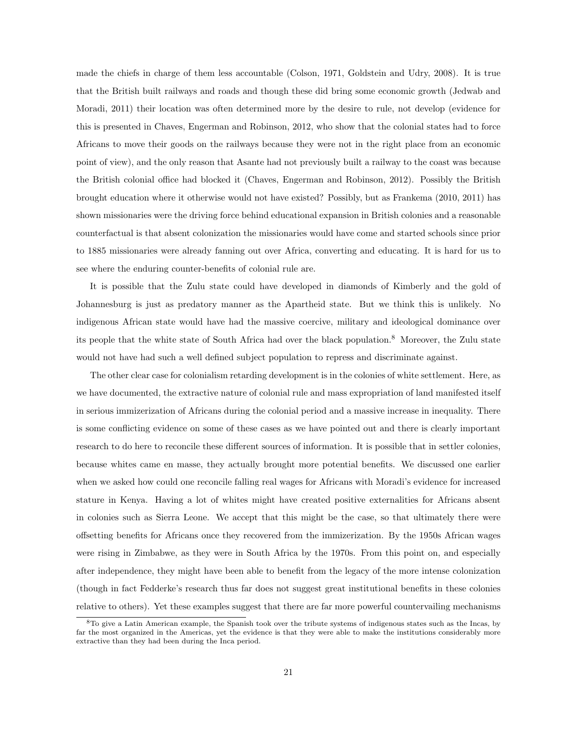made the chiefs in charge of them less accountable (Colson, 1971, Goldstein and Udry, 2008). It is true that the British built railways and roads and though these did bring some economic growth (Jedwab and Moradi, 2011) their location was often determined more by the desire to rule, not develop (evidence for this is presented in Chaves, Engerman and Robinson, 2012, who show that the colonial states had to force Africans to move their goods on the railways because they were not in the right place from an economic point of view), and the only reason that Asante had not previously built a railway to the coast was because the British colonial office had blocked it (Chaves, Engerman and Robinson, 2012). Possibly the British brought education where it otherwise would not have existed? Possibly, but as Frankema (2010, 2011) has shown missionaries were the driving force behind educational expansion in British colonies and a reasonable counterfactual is that absent colonization the missionaries would have come and started schools since prior to 1885 missionaries were already fanning out over Africa, converting and educating. It is hard for us to see where the enduring counter-benefits of colonial rule are.

It is possible that the Zulu state could have developed in diamonds of Kimberly and the gold of Johannesburg is just as predatory manner as the Apartheid state. But we think this is unlikely. No indigenous African state would have had the massive coercive, military and ideological dominance over its people that the white state of South Africa had over the black population.<sup>8</sup> Moreover, the Zulu state would not have had such a well defined subject population to repress and discriminate against.

The other clear case for colonialism retarding development is in the colonies of white settlement. Here, as we have documented, the extractive nature of colonial rule and mass expropriation of land manifested itself in serious immizerization of Africans during the colonial period and a massive increase in inequality. There is some conflicting evidence on some of these cases as we have pointed out and there is clearly important research to do here to reconcile these different sources of information. It is possible that in settler colonies, because whites came en masse, they actually brought more potential benefits. We discussed one earlier when we asked how could one reconcile falling real wages for Africans with Moradi's evidence for increased stature in Kenya. Having a lot of whites might have created positive externalities for Africans absent in colonies such as Sierra Leone. We accept that this might be the case, so that ultimately there were offsetting benefits for Africans once they recovered from the immizerization. By the 1950s African wages were rising in Zimbabwe, as they were in South Africa by the 1970s. From this point on, and especially after independence, they might have been able to benefit from the legacy of the more intense colonization (though in fact Fedderke's research thus far does not suggest great institutional benefits in these colonies relative to others). Yet these examples suggest that there are far more powerful countervailing mechanisms

<sup>8</sup>To give a Latin American example, the Spanish took over the tribute systems of indigenous states such as the Incas, by far the most organized in the Americas, yet the evidence is that they were able to make the institutions considerably more extractive than they had been during the Inca period.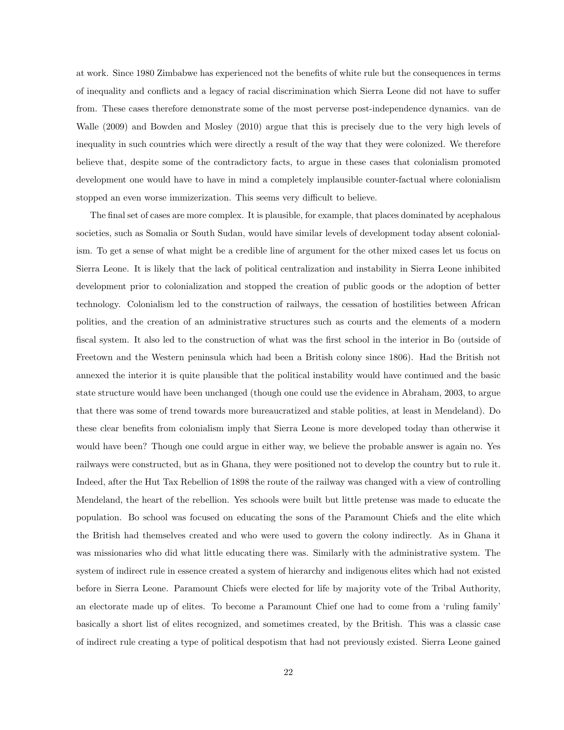at work. Since 1980 Zimbabwe has experienced not the benefits of white rule but the consequences in terms of inequality and conflicts and a legacy of racial discrimination which Sierra Leone did not have to suffer from. These cases therefore demonstrate some of the most perverse post-independence dynamics. van de Walle (2009) and Bowden and Mosley (2010) argue that this is precisely due to the very high levels of inequality in such countries which were directly a result of the way that they were colonized. We therefore believe that, despite some of the contradictory facts, to argue in these cases that colonialism promoted development one would have to have in mind a completely implausible counter-factual where colonialism stopped an even worse immizerization. This seems very difficult to believe.

The final set of cases are more complex. It is plausible, for example, that places dominated by acephalous societies, such as Somalia or South Sudan, would have similar levels of development today absent colonialism. To get a sense of what might be a credible line of argument for the other mixed cases let us focus on Sierra Leone. It is likely that the lack of political centralization and instability in Sierra Leone inhibited development prior to colonialization and stopped the creation of public goods or the adoption of better technology. Colonialism led to the construction of railways, the cessation of hostilities between African polities, and the creation of an administrative structures such as courts and the elements of a modern fiscal system. It also led to the construction of what was the first school in the interior in Bo (outside of Freetown and the Western peninsula which had been a British colony since 1806). Had the British not annexed the interior it is quite plausible that the political instability would have continued and the basic state structure would have been unchanged (though one could use the evidence in Abraham, 2003, to argue that there was some of trend towards more bureaucratized and stable polities, at least in Mendeland). Do these clear benefits from colonialism imply that Sierra Leone is more developed today than otherwise it would have been? Though one could argue in either way, we believe the probable answer is again no. Yes railways were constructed, but as in Ghana, they were positioned not to develop the country but to rule it. Indeed, after the Hut Tax Rebellion of 1898 the route of the railway was changed with a view of controlling Mendeland, the heart of the rebellion. Yes schools were built but little pretense was made to educate the population. Bo school was focused on educating the sons of the Paramount Chiefs and the elite which the British had themselves created and who were used to govern the colony indirectly. As in Ghana it was missionaries who did what little educating there was. Similarly with the administrative system. The system of indirect rule in essence created a system of hierarchy and indigenous elites which had not existed before in Sierra Leone. Paramount Chiefs were elected for life by majority vote of the Tribal Authority, an electorate made up of elites. To become a Paramount Chief one had to come from a 'ruling family' basically a short list of elites recognized, and sometimes created, by the British. This was a classic case of indirect rule creating a type of political despotism that had not previously existed. Sierra Leone gained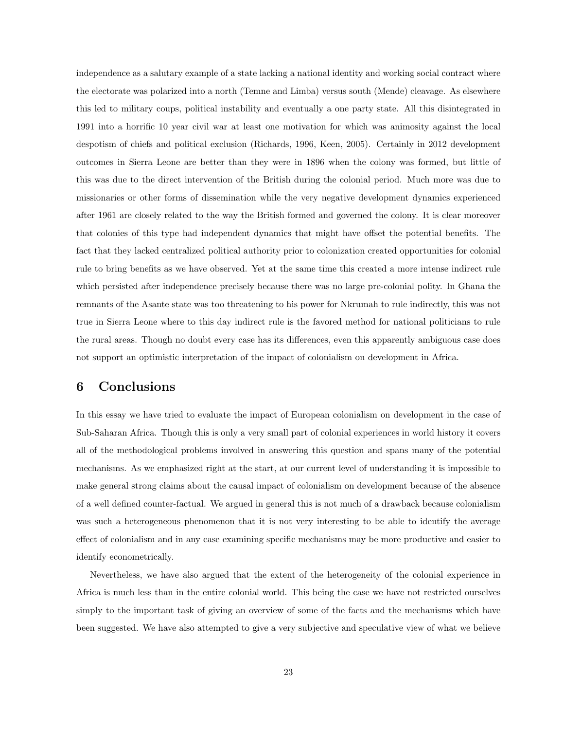independence as a salutary example of a state lacking a national identity and working social contract where the electorate was polarized into a north (Temne and Limba) versus south (Mende) cleavage. As elsewhere this led to military coups, political instability and eventually a one party state. All this disintegrated in 1991 into a horrific 10 year civil war at least one motivation for which was animosity against the local despotism of chiefs and political exclusion (Richards, 1996, Keen, 2005). Certainly in 2012 development outcomes in Sierra Leone are better than they were in 1896 when the colony was formed, but little of this was due to the direct intervention of the British during the colonial period. Much more was due to missionaries or other forms of dissemination while the very negative development dynamics experienced after 1961 are closely related to the way the British formed and governed the colony. It is clear moreover that colonies of this type had independent dynamics that might have offset the potential benefits. The fact that they lacked centralized political authority prior to colonization created opportunities for colonial rule to bring benefits as we have observed. Yet at the same time this created a more intense indirect rule which persisted after independence precisely because there was no large pre-colonial polity. In Ghana the remnants of the Asante state was too threatening to his power for Nkrumah to rule indirectly, this was not true in Sierra Leone where to this day indirect rule is the favored method for national politicians to rule the rural areas. Though no doubt every case has its differences, even this apparently ambiguous case does not support an optimistic interpretation of the impact of colonialism on development in Africa.

## 6 Conclusions

In this essay we have tried to evaluate the impact of European colonialism on development in the case of Sub-Saharan Africa. Though this is only a very small part of colonial experiences in world history it covers all of the methodological problems involved in answering this question and spans many of the potential mechanisms. As we emphasized right at the start, at our current level of understanding it is impossible to make general strong claims about the causal impact of colonialism on development because of the absence of a well defined counter-factual. We argued in general this is not much of a drawback because colonialism was such a heterogeneous phenomenon that it is not very interesting to be able to identify the average effect of colonialism and in any case examining specific mechanisms may be more productive and easier to identify econometrically.

Nevertheless, we have also argued that the extent of the heterogeneity of the colonial experience in Africa is much less than in the entire colonial world. This being the case we have not restricted ourselves simply to the important task of giving an overview of some of the facts and the mechanisms which have been suggested. We have also attempted to give a very subjective and speculative view of what we believe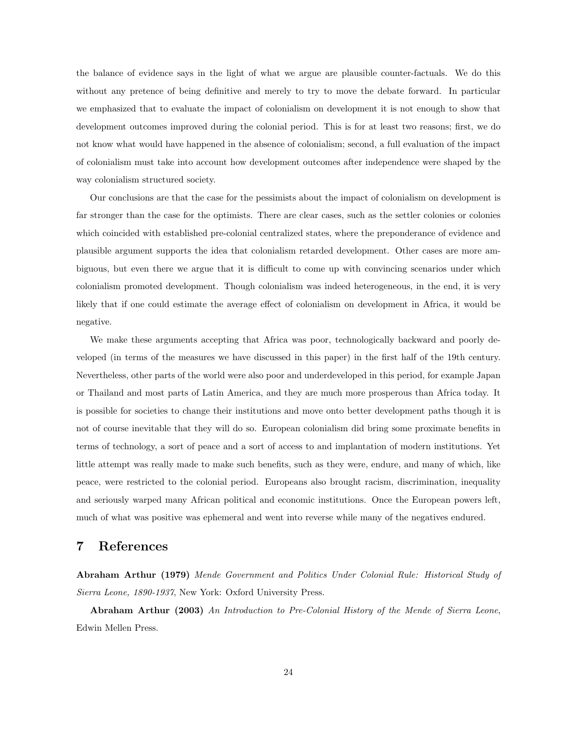the balance of evidence says in the light of what we argue are plausible counter-factuals. We do this without any pretence of being definitive and merely to try to move the debate forward. In particular we emphasized that to evaluate the impact of colonialism on development it is not enough to show that development outcomes improved during the colonial period. This is for at least two reasons; first, we do not know what would have happened in the absence of colonialism; second, a full evaluation of the impact of colonialism must take into account how development outcomes after independence were shaped by the way colonialism structured society.

Our conclusions are that the case for the pessimists about the impact of colonialism on development is far stronger than the case for the optimists. There are clear cases, such as the settler colonies or colonies which coincided with established pre-colonial centralized states, where the preponderance of evidence and plausible argument supports the idea that colonialism retarded development. Other cases are more ambiguous, but even there we argue that it is difficult to come up with convincing scenarios under which colonialism promoted development. Though colonialism was indeed heterogeneous, in the end, it is very likely that if one could estimate the average effect of colonialism on development in Africa, it would be negative.

We make these arguments accepting that Africa was poor, technologically backward and poorly developed (in terms of the measures we have discussed in this paper) in the first half of the 19th century. Nevertheless, other parts of the world were also poor and underdeveloped in this period, for example Japan or Thailand and most parts of Latin America, and they are much more prosperous than Africa today. It is possible for societies to change their institutions and move onto better development paths though it is not of course inevitable that they will do so. European colonialism did bring some proximate benefits in terms of technology, a sort of peace and a sort of access to and implantation of modern institutions. Yet little attempt was really made to make such benefits, such as they were, endure, and many of which, like peace, were restricted to the colonial period. Europeans also brought racism, discrimination, inequality and seriously warped many African political and economic institutions. Once the European powers left, much of what was positive was ephemeral and went into reverse while many of the negatives endured.

### 7 References

Abraham Arthur (1979) Mende Government and Politics Under Colonial Rule: Historical Study of Sierra Leone, 1890-1937, New York: Oxford University Press.

Abraham Arthur (2003) An Introduction to Pre-Colonial History of the Mende of Sierra Leone, Edwin Mellen Press.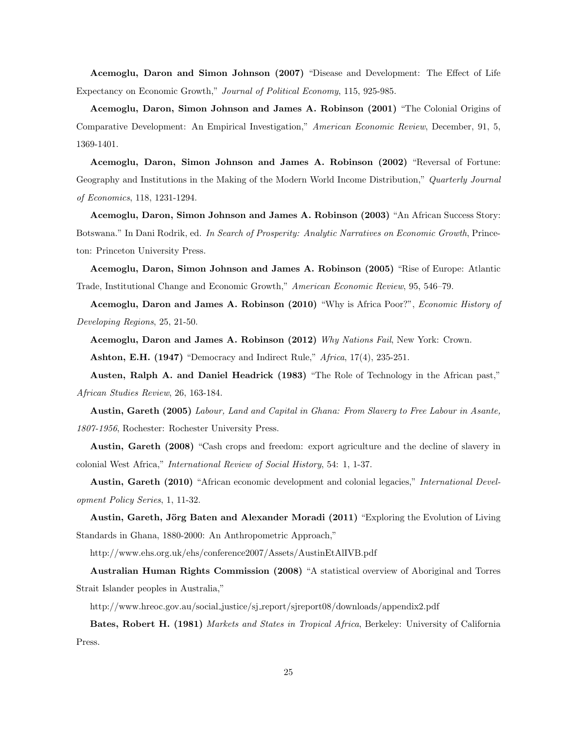Acemoglu, Daron and Simon Johnson (2007) "Disease and Development: The Effect of Life Expectancy on Economic Growth," Journal of Political Economy, 115, 925-985.

Acemoglu, Daron, Simon Johnson and James A. Robinson (2001) "The Colonial Origins of Comparative Development: An Empirical Investigation," American Economic Review, December, 91, 5, 1369-1401.

Acemoglu, Daron, Simon Johnson and James A. Robinson (2002) "Reversal of Fortune: Geography and Institutions in the Making of the Modern World Income Distribution," Quarterly Journal of Economics, 118, 1231-1294.

Acemoglu, Daron, Simon Johnson and James A. Robinson (2003) "An African Success Story: Botswana." In Dani Rodrik, ed. In Search of Prosperity: Analytic Narratives on Economic Growth, Princeton: Princeton University Press.

Acemoglu, Daron, Simon Johnson and James A. Robinson (2005) "Rise of Europe: Atlantic Trade, Institutional Change and Economic Growth," American Economic Review, 95, 546–79.

Acemoglu, Daron and James A. Robinson (2010) "Why is Africa Poor?", Economic History of Developing Regions, 25, 21-50.

Acemoglu, Daron and James A. Robinson (2012) Why Nations Fail, New York: Crown.

Ashton, E.H. (1947) "Democracy and Indirect Rule," Africa, 17(4), 235-251.

Austen, Ralph A. and Daniel Headrick (1983) "The Role of Technology in the African past," African Studies Review, 26, 163-184.

Austin, Gareth (2005) Labour, Land and Capital in Ghana: From Slavery to Free Labour in Asante, 1807-1956, Rochester: Rochester University Press.

Austin, Gareth (2008) "Cash crops and freedom: export agriculture and the decline of slavery in colonial West Africa," International Review of Social History, 54: 1, 1-37.

Austin, Gareth (2010) "African economic development and colonial legacies," International Development Policy Series, 1, 11-32.

Austin, Gareth, Jörg Baten and Alexander Moradi (2011) "Exploring the Evolution of Living Standards in Ghana, 1880-2000: An Anthropometric Approach,"

http://www.ehs.org.uk/ehs/conference2007/Assets/AustinEtAlIVB.pdf

Australian Human Rights Commission (2008) "A statistical overview of Aboriginal and Torres Strait Islander peoples in Australia,"

http://www.hreoc.gov.au/social justice/sj report/sjreport08/downloads/appendix2.pdf

Bates, Robert H. (1981) Markets and States in Tropical Africa, Berkeley: University of California Press.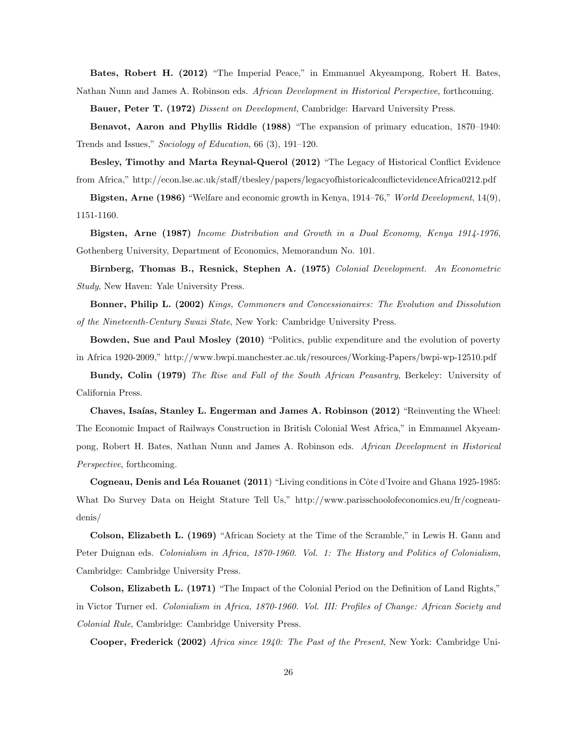Bates, Robert H. (2012) "The Imperial Peace," in Emmanuel Akyeampong, Robert H. Bates, Nathan Nunn and James A. Robinson eds. African Development in Historical Perspective, forthcoming.

Bauer, Peter T. (1972) Dissent on Development, Cambridge: Harvard University Press.

Benavot, Aaron and Phyllis Riddle (1988) "The expansion of primary education, 1870–1940: Trends and Issues," Sociology of Education, 66 (3), 191–120.

Besley, Timothy and Marta Reynal-Querol (2012) "The Legacy of Historical Conflict Evidence from Africa," http://econ.lse.ac.uk/staff/tbesley/papers/legacyofhistoricalconflictevidenceAfrica0212.pdf

Bigsten, Arne (1986) "Welfare and economic growth in Kenya, 1914–76," World Development, 14(9), 1151-1160.

Bigsten, Arne (1987) Income Distribution and Growth in a Dual Economy, Kenya 1914-1976, Gothenberg University, Department of Economics, Memorandum No. 101.

Birnberg, Thomas B., Resnick, Stephen A. (1975) Colonial Development. An Econometric Study, New Haven: Yale University Press.

Bonner, Philip L. (2002) Kings, Commoners and Concessionaires: The Evolution and Dissolution of the Nineteenth-Century Swazi State, New York: Cambridge University Press.

Bowden, Sue and Paul Mosley (2010) "Politics, public expenditure and the evolution of poverty in Africa 1920-2009," http://www.bwpi.manchester.ac.uk/resources/Working-Papers/bwpi-wp-12510.pdf

Bundy, Colin (1979) The Rise and Fall of the South African Peasantry, Berkeley: University of California Press.

Chaves, Isaías, Stanley L. Engerman and James A. Robinson (2012) "Reinventing the Wheel: The Economic Impact of Railways Construction in British Colonial West Africa," in Emmanuel Akyeampong, Robert H. Bates, Nathan Nunn and James A. Robinson eds. African Development in Historical Perspective, forthcoming.

Cogneau, Denis and Léa Rouanet (2011) "Living conditions in Côte d'Ivoire and Ghana 1925-1985: What Do Survey Data on Height Stature Tell Us," http://www.parisschoolofeconomics.eu/fr/cogneaudenis/

Colson, Elizabeth L. (1969) "African Society at the Time of the Scramble," in Lewis H. Gann and Peter Duignan eds. Colonialism in Africa, 1870-1960. Vol. 1: The History and Politics of Colonialism, Cambridge: Cambridge University Press.

Colson, Elizabeth L. (1971) "The Impact of the Colonial Period on the Definition of Land Rights," in Victor Turner ed. Colonialism in Africa, 1870-1960. Vol. III: Profiles of Change: African Society and Colonial Rule, Cambridge: Cambridge University Press.

Cooper, Frederick (2002) Africa since 1940: The Past of the Present, New York: Cambridge Uni-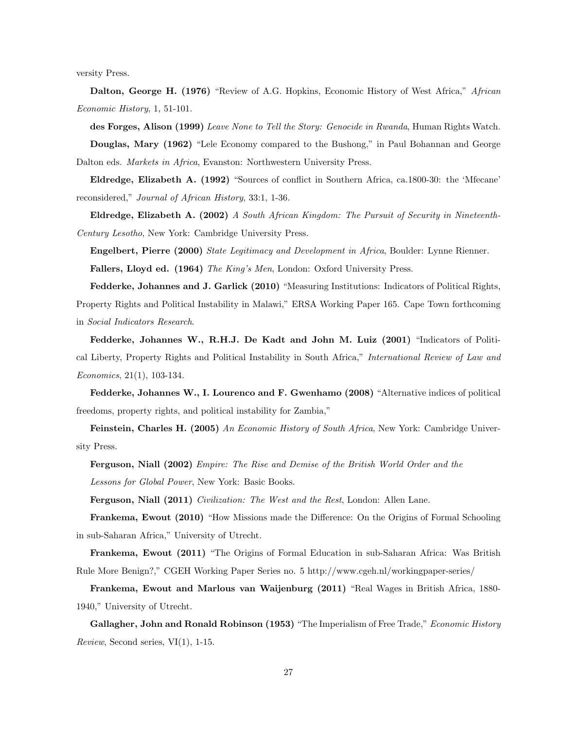versity Press.

Dalton, George H. (1976) "Review of A.G. Hopkins, Economic History of West Africa," African Economic History, 1, 51-101.

des Forges, Alison (1999) Leave None to Tell the Story: Genocide in Rwanda, Human Rights Watch. Douglas, Mary (1962) "Lele Economy compared to the Bushong," in Paul Bohannan and George Dalton eds. Markets in Africa, Evanston: Northwestern University Press.

Eldredge, Elizabeth A. (1992) "Sources of conflict in Southern Africa, ca.1800-30: the 'Mfecane' reconsidered," Journal of African History, 33:1, 1-36.

Eldredge, Elizabeth A. (2002) A South African Kingdom: The Pursuit of Security in Nineteenth-Century Lesotho, New York: Cambridge University Press.

Engelbert, Pierre (2000) State Legitimacy and Development in Africa, Boulder: Lynne Rienner.

Fallers, Lloyd ed. (1964) The King's Men, London: Oxford University Press.

Fedderke, Johannes and J. Garlick (2010) "Measuring Institutions: Indicators of Political Rights, Property Rights and Political Instability in Malawi," ERSA Working Paper 165. Cape Town forthcoming in Social Indicators Research.

Fedderke, Johannes W., R.H.J. De Kadt and John M. Luiz (2001) "Indicators of Political Liberty, Property Rights and Political Instability in South Africa," International Review of Law and Economics, 21(1), 103-134.

Fedderke, Johannes W., I. Lourenco and F. Gwenhamo (2008) "Alternative indices of political freedoms, property rights, and political instability for Zambia,"

Feinstein, Charles H. (2005) An Economic History of South Africa, New York: Cambridge University Press.

Ferguson, Niall (2002) Empire: The Rise and Demise of the British World Order and the Lessons for Global Power, New York: Basic Books.

Ferguson, Niall (2011) Civilization: The West and the Rest, London: Allen Lane.

Frankema, Ewout (2010) "How Missions made the Difference: On the Origins of Formal Schooling in sub-Saharan Africa," University of Utrecht.

Frankema, Ewout (2011) "The Origins of Formal Education in sub-Saharan Africa: Was British Rule More Benign?," CGEH Working Paper Series no. 5 http://www.cgeh.nl/workingpaper-series/

Frankema, Ewout and Marlous van Waijenburg (2011) "Real Wages in British Africa, 1880- 1940," University of Utrecht.

Gallagher, John and Ronald Robinson (1953) "The Imperialism of Free Trade," Economic History Review, Second series,  $VI(1)$ , 1-15.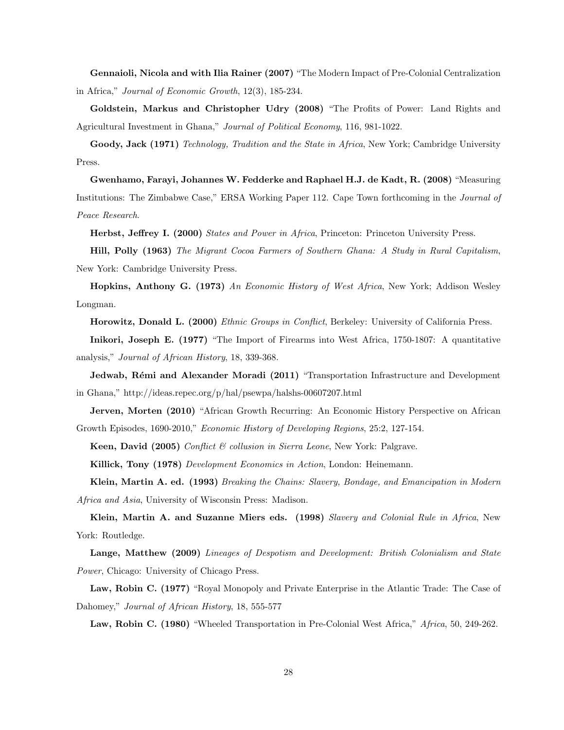Gennaioli, Nicola and with Ilia Rainer (2007) "The Modern Impact of Pre-Colonial Centralization in Africa," Journal of Economic Growth, 12(3), 185-234.

Goldstein, Markus and Christopher Udry (2008) "The Profits of Power: Land Rights and Agricultural Investment in Ghana," Journal of Political Economy, 116, 981-1022.

Goody, Jack (1971) Technology, Tradition and the State in Africa, New York; Cambridge University Press.

Gwenhamo, Farayi, Johannes W. Fedderke and Raphael H.J. de Kadt, R. (2008) "Measuring Institutions: The Zimbabwe Case," ERSA Working Paper 112. Cape Town forthcoming in the Journal of Peace Research.

Herbst, Jeffrey I. (2000) States and Power in Africa, Princeton: Princeton University Press.

Hill, Polly (1963) The Migrant Cocoa Farmers of Southern Ghana: A Study in Rural Capitalism, New York: Cambridge University Press.

Hopkins, Anthony G. (1973) An Economic History of West Africa, New York; Addison Wesley Longman.

Horowitz, Donald L. (2000) Ethnic Groups in Conflict, Berkeley: University of California Press.

Inikori, Joseph E. (1977) "The Import of Firearms into West Africa, 1750-1807: A quantitative analysis," Journal of African History, 18, 339-368.

Jedwab, Rémi and Alexander Moradi (2011) "Transportation Infrastructure and Development in Ghana," http://ideas.repec.org/p/hal/psewpa/halshs-00607207.html

Jerven, Morten (2010) "African Growth Recurring: An Economic History Perspective on African Growth Episodes, 1690-2010," Economic History of Developing Regions, 25:2, 127-154.

Keen, David (2005) Conflict & collusion in Sierra Leone, New York: Palgrave.

Killick, Tony (1978) Development Economics in Action, London: Heinemann.

Klein, Martin A. ed. (1993) Breaking the Chains: Slavery, Bondage, and Emancipation in Modern Africa and Asia, University of Wisconsin Press: Madison.

Klein, Martin A. and Suzanne Miers eds. (1998) Slavery and Colonial Rule in Africa, New York: Routledge.

Lange, Matthew (2009) Lineages of Despotism and Development: British Colonialism and State Power, Chicago: University of Chicago Press.

Law, Robin C. (1977) "Royal Monopoly and Private Enterprise in the Atlantic Trade: The Case of Dahomey," Journal of African History, 18, 555-577

Law, Robin C. (1980) "Wheeled Transportation in Pre-Colonial West Africa," Africa, 50, 249-262.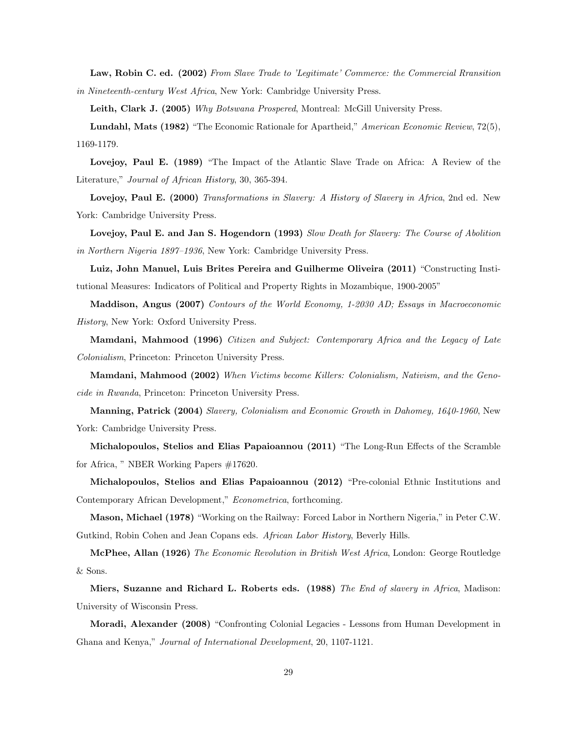Law, Robin C. ed. (2002) From Slave Trade to 'Legitimate' Commerce: the Commercial Rransition in Nineteenth-century West Africa, New York: Cambridge University Press.

Leith, Clark J. (2005) Why Botswana Prospered, Montreal: McGill University Press.

Lundahl, Mats (1982) "The Economic Rationale for Apartheid," American Economic Review, 72(5), 1169-1179.

Lovejoy, Paul E. (1989) "The Impact of the Atlantic Slave Trade on Africa: A Review of the Literature," Journal of African History, 30, 365-394.

Lovejoy, Paul E. (2000) Transformations in Slavery: A History of Slavery in Africa, 2nd ed. New York: Cambridge University Press.

Lovejoy, Paul E. and Jan S. Hogendorn (1993) Slow Death for Slavery: The Course of Abolition in Northern Nigeria 1897–1936, New York: Cambridge University Press.

Luiz, John Manuel, Luis Brites Pereira and Guilherme Oliveira (2011) "Constructing Institutional Measures: Indicators of Political and Property Rights in Mozambique, 1900-2005"

Maddison, Angus (2007) Contours of the World Economy, 1-2030 AD; Essays in Macroeconomic History, New York: Oxford University Press.

Mamdani, Mahmood (1996) Citizen and Subject: Contemporary Africa and the Legacy of Late Colonialism, Princeton: Princeton University Press.

Mamdani, Mahmood (2002) When Victims become Killers: Colonialism, Nativism, and the Genocide in Rwanda, Princeton: Princeton University Press.

Manning, Patrick (2004) Slavery, Colonialism and Economic Growth in Dahomey, 1640-1960, New York: Cambridge University Press.

Michalopoulos, Stelios and Elias Papaioannou (2011) "The Long-Run Effects of the Scramble for Africa, " NBER Working Papers #17620.

Michalopoulos, Stelios and Elias Papaioannou (2012) "Pre-colonial Ethnic Institutions and Contemporary African Development," Econometrica, forthcoming.

Mason, Michael (1978) "Working on the Railway: Forced Labor in Northern Nigeria," in Peter C.W. Gutkind, Robin Cohen and Jean Copans eds. African Labor History, Beverly Hills.

McPhee, Allan (1926) The Economic Revolution in British West Africa, London: George Routledge & Sons.

Miers, Suzanne and Richard L. Roberts eds. (1988) The End of slavery in Africa, Madison: University of Wisconsin Press.

Moradi, Alexander (2008) "Confronting Colonial Legacies - Lessons from Human Development in Ghana and Kenya," Journal of International Development, 20, 1107-1121.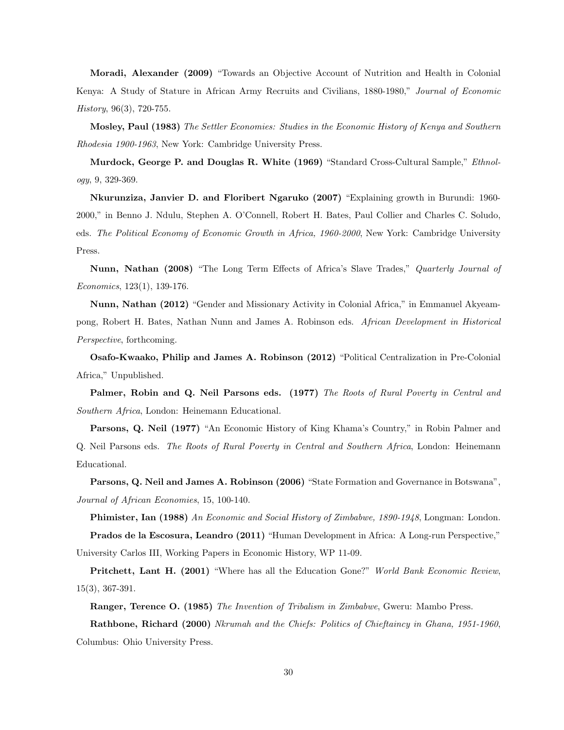Moradi, Alexander (2009) "Towards an Objective Account of Nutrition and Health in Colonial Kenya: A Study of Stature in African Army Recruits and Civilians, 1880-1980," Journal of Economic  $History, 96(3), 720-755.$ 

Mosley, Paul (1983) The Settler Economies: Studies in the Economic History of Kenya and Southern Rhodesia 1900-1963, New York: Cambridge University Press.

Murdock, George P. and Douglas R. White (1969) "Standard Cross-Cultural Sample," *Ethnol*ogy, 9, 329-369.

Nkurunziza, Janvier D. and Floribert Ngaruko (2007) "Explaining growth in Burundi: 1960- 2000," in Benno J. Ndulu, Stephen A. O'Connell, Robert H. Bates, Paul Collier and Charles C. Soludo, eds. The Political Economy of Economic Growth in Africa, 1960-2000, New York: Cambridge University Press.

Nunn, Nathan (2008) "The Long Term Effects of Africa's Slave Trades," Quarterly Journal of Economics, 123(1), 139-176.

Nunn, Nathan (2012) "Gender and Missionary Activity in Colonial Africa," in Emmanuel Akyeampong, Robert H. Bates, Nathan Nunn and James A. Robinson eds. African Development in Historical Perspective, forthcoming.

Osafo-Kwaako, Philip and James A. Robinson (2012) "Political Centralization in Pre-Colonial Africa," Unpublished.

Palmer, Robin and Q. Neil Parsons eds. (1977) The Roots of Rural Poverty in Central and Southern Africa, London: Heinemann Educational.

Parsons, Q. Neil (1977) "An Economic History of King Khama's Country," in Robin Palmer and Q. Neil Parsons eds. The Roots of Rural Poverty in Central and Southern Africa, London: Heinemann Educational.

Parsons, Q. Neil and James A. Robinson (2006) "State Formation and Governance in Botswana", Journal of African Economies, 15, 100-140.

Phimister, Ian (1988) An Economic and Social History of Zimbabwe, 1890-1948, Longman: London.

Prados de la Escosura, Leandro (2011) "Human Development in Africa: A Long-run Perspective," University Carlos III, Working Papers in Economic History, WP 11-09.

**Pritchett, Lant H. (2001)** "Where has all the Education Gone?" World Bank Economic Review, 15(3), 367-391.

Ranger, Terence O. (1985) The Invention of Tribalism in Zimbabwe, Gweru: Mambo Press.

Rathbone, Richard (2000) Nkrumah and the Chiefs: Politics of Chieftaincy in Ghana, 1951-1960, Columbus: Ohio University Press.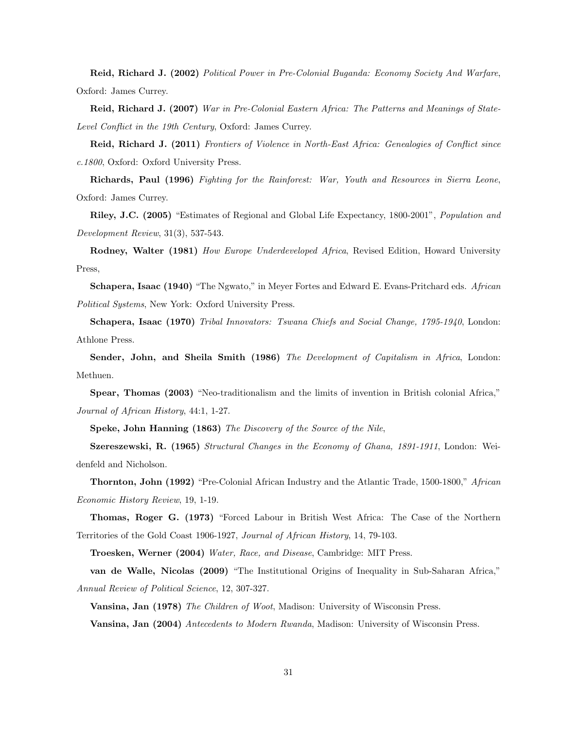Reid, Richard J. (2002) Political Power in Pre-Colonial Buganda: Economy Society And Warfare, Oxford: James Currey.

Reid, Richard J. (2007) War in Pre-Colonial Eastern Africa: The Patterns and Meanings of State-Level Conflict in the 19th Century, Oxford: James Currey.

Reid, Richard J. (2011) Frontiers of Violence in North-East Africa: Genealogies of Conflict since c.1800, Oxford: Oxford University Press.

Richards, Paul (1996) Fighting for the Rainforest: War, Youth and Resources in Sierra Leone, Oxford: James Currey.

Riley, J.C. (2005) "Estimates of Regional and Global Life Expectancy, 1800-2001", Population and Development Review, 31(3), 537-543.

Rodney, Walter (1981) How Europe Underdeveloped Africa, Revised Edition, Howard University Press,

Schapera, Isaac (1940) "The Ngwato," in Meyer Fortes and Edward E. Evans-Pritchard eds. African Political Systems, New York: Oxford University Press.

Schapera, Isaac (1970) Tribal Innovators: Tswana Chiefs and Social Change, 1795-1940, London: Athlone Press.

Sender, John, and Sheila Smith (1986) The Development of Capitalism in Africa, London: Methuen.

Spear, Thomas (2003) "Neo-traditionalism and the limits of invention in British colonial Africa," Journal of African History, 44:1, 1-27.

Speke, John Hanning (1863) The Discovery of the Source of the Nile,

Szereszewski, R. (1965) Structural Changes in the Economy of Ghana, 1891-1911, London: Weidenfeld and Nicholson.

Thornton, John (1992) "Pre-Colonial African Industry and the Atlantic Trade, 1500-1800," African Economic History Review, 19, 1-19.

Thomas, Roger G. (1973) "Forced Labour in British West Africa: The Case of the Northern Territories of the Gold Coast 1906-1927, Journal of African History, 14, 79-103.

Troesken, Werner (2004) Water, Race, and Disease, Cambridge: MIT Press.

van de Walle, Nicolas (2009) "The Institutional Origins of Inequality in Sub-Saharan Africa," Annual Review of Political Science, 12, 307-327.

Vansina, Jan (1978) The Children of Woot, Madison: University of Wisconsin Press. Vansina, Jan (2004) Antecedents to Modern Rwanda, Madison: University of Wisconsin Press.

31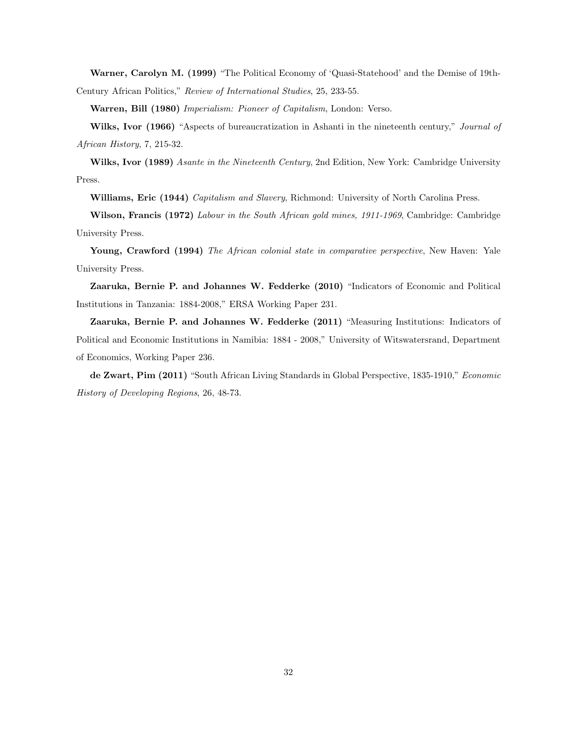Warner, Carolyn M. (1999) "The Political Economy of 'Quasi-Statehood' and the Demise of 19th-Century African Politics," Review of International Studies, 25, 233-55.

Warren, Bill (1980) Imperialism: Pioneer of Capitalism, London: Verso.

Wilks, Ivor (1966) "Aspects of bureaucratization in Ashanti in the nineteenth century," Journal of African History, 7, 215-32.

Wilks, Ivor (1989) Asante in the Nineteenth Century, 2nd Edition, New York: Cambridge University Press.

Williams, Eric (1944) Capitalism and Slavery, Richmond: University of North Carolina Press.

Wilson, Francis (1972) Labour in the South African gold mines, 1911-1969, Cambridge: Cambridge University Press.

Young, Crawford (1994) The African colonial state in comparative perspective, New Haven: Yale University Press.

Zaaruka, Bernie P. and Johannes W. Fedderke (2010) "Indicators of Economic and Political Institutions in Tanzania: 1884-2008," ERSA Working Paper 231.

Zaaruka, Bernie P. and Johannes W. Fedderke (2011) "Measuring Institutions: Indicators of Political and Economic Institutions in Namibia: 1884 - 2008," University of Witswatersrand, Department of Economics, Working Paper 236.

de Zwart, Pim (2011) "South African Living Standards in Global Perspective, 1835-1910," Economic History of Developing Regions, 26, 48-73.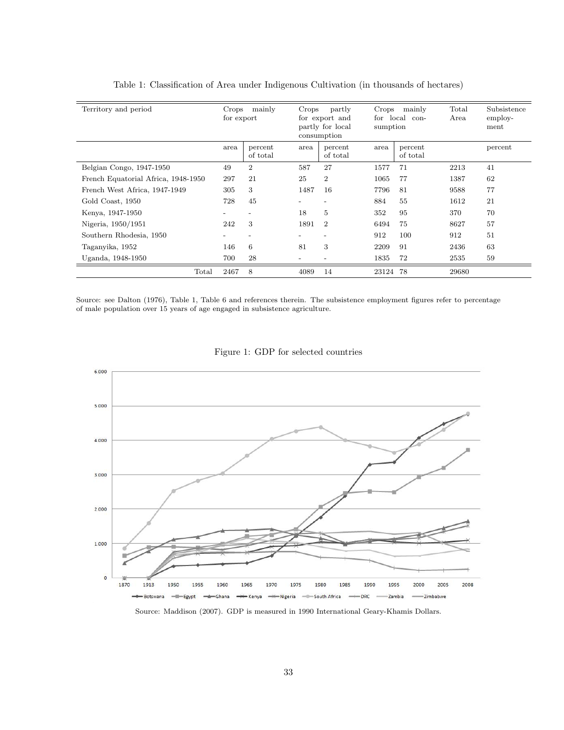| Territory and period                | mainly<br>Crops<br>for export |                          | Crops<br>partly<br>for export and<br>partly for local<br>consumption |                     | mainly<br>Crops<br>local con-<br>for<br>sumption |                     | Total<br>Area | Subsistence<br>employ-<br>ment |
|-------------------------------------|-------------------------------|--------------------------|----------------------------------------------------------------------|---------------------|--------------------------------------------------|---------------------|---------------|--------------------------------|
|                                     | area                          | percent<br>of total      | area                                                                 | percent<br>of total | area                                             | percent<br>of total |               | percent                        |
| Belgian Congo, 1947-1950            | 49                            | $\overline{2}$           | 587                                                                  | 27                  | 1577                                             | 71                  | 2213          | 41                             |
| French Equatorial Africa, 1948-1950 | 297                           | 21                       | 25                                                                   | $\overline{2}$      | 1065                                             | 77                  | 1387          | 62                             |
| French West Africa, 1947-1949       | 305                           | 3                        | 1487                                                                 | 16                  | 7796                                             | 81                  | 9588          | 77                             |
| Gold Coast, 1950                    | 728                           | 45                       |                                                                      |                     | 884                                              | 55                  | 1612          | 21                             |
| Kenya, 1947-1950                    | $\overline{\phantom{a}}$      | $\overline{\phantom{a}}$ | 18                                                                   | 5                   | 352                                              | 95                  | 370           | 70                             |
| Nigeria, 1950/1951                  | 242                           | 3                        | 1891                                                                 | $\overline{2}$      | 6494                                             | 75                  | 8627          | 57                             |
| Southern Rhodesia, 1950             | -                             | $\qquad \qquad$          |                                                                      |                     | 912                                              | 100                 | 912           | 51                             |
| Taganyika, 1952                     | 146                           | 6                        | 81                                                                   | 3                   | 2209                                             | 91                  | 2436          | 63                             |
| Uganda, 1948-1950                   | 700                           | 28                       |                                                                      |                     | 1835                                             | 72                  | 2535          | 59                             |
| Total                               | 2467                          | 8                        | 4089                                                                 | 14                  | 23124                                            | 78                  | 29680         |                                |

Table 1: Classification of Area under Indigenous Cultivation (in thousands of hectares)

Source: see Dalton (1976), Table 1, Table 6 and references therein. The subsistence employment figures refer to percentage of male population over 15 years of age engaged in subsistence agriculture.



Figure 1: GDP for selected countries

Source: Maddison (2007). GDP is measured in 1990 International Geary-Khamis Dollars.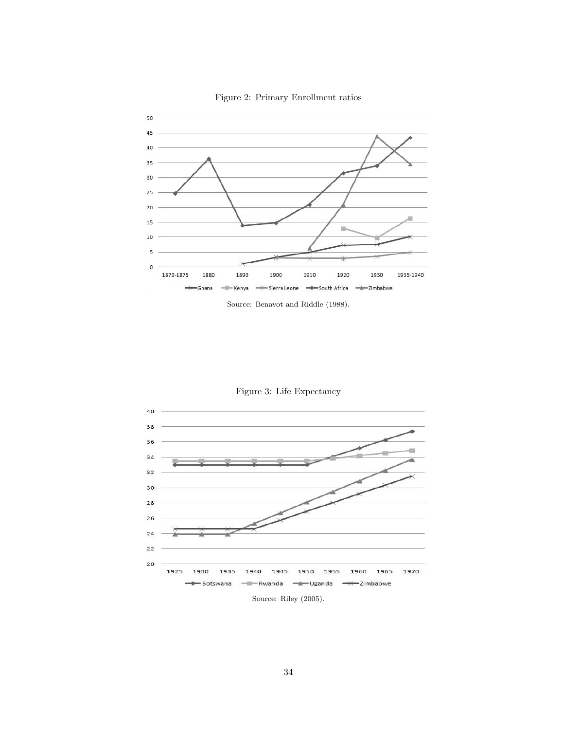

Figure 2: Primary Enrollment ratios





Figure 3: Life Expectancy

Source: Riley (2005).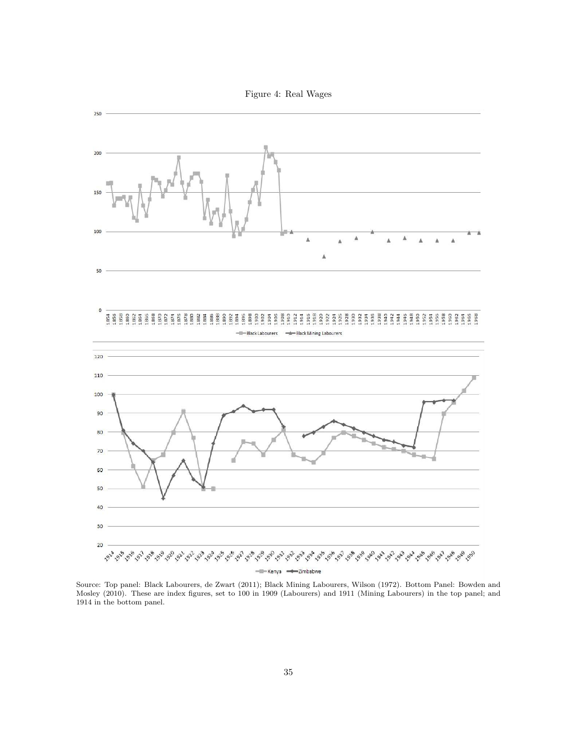Figure 4: Real Wages



Source: Top panel: Black Labourers, de Zwart (2011); Black Mining Labourers, Wilson (1972). Bottom Panel: Bowden and Mosley (2010). These are index figures, set to 100 in 1909 (Labourers) and 1911 (Mining Labourers) in the top panel; and 1914 in the bottom panel.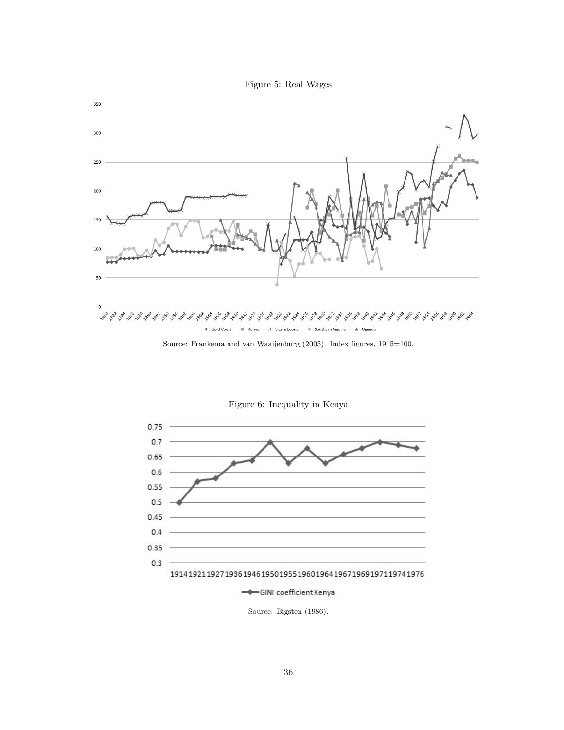



Source: Frankema and van Waaijenburg (2005). Index figures, 1915=100.



Figure 6: Inequality in Kenya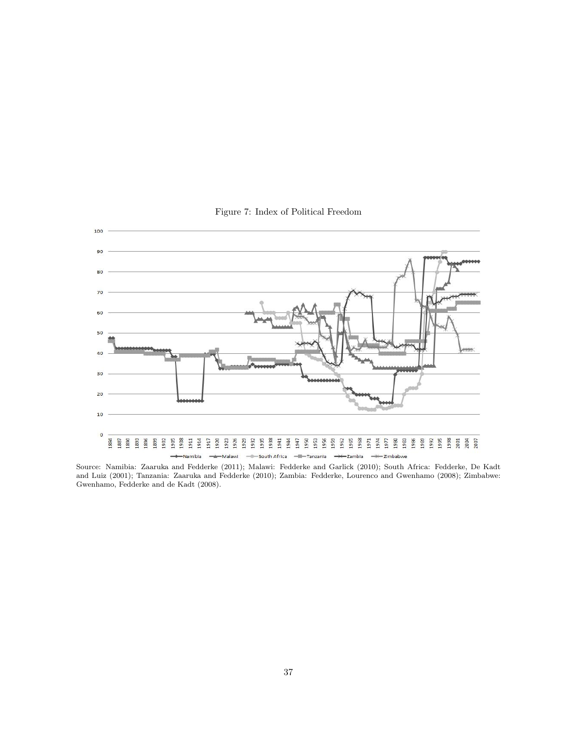

Figure 7: Index of Political Freedom

Source: Namibia: Zaaruka and Fedderke (2011); Malawi: Fedderke and Garlick (2010); South Africa: Fedderke, De Kadt and Luiz (2001); Tanzania: Zaaruka and Fedderke (2010); Zambia: Fedderke, Lourenco and Gwenhamo (2008); Zimbabwe: Gwenhamo, Fedderke and de Kadt (2008).